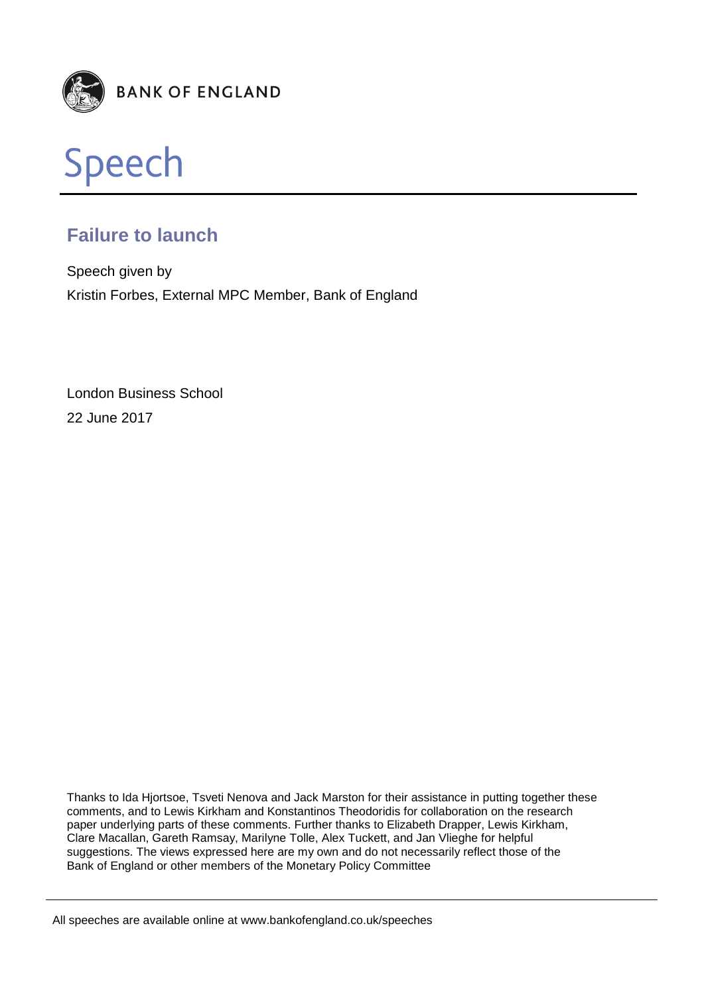



# **Failure to launch**

Speech given by Kristin Forbes, External MPC Member, Bank of England

London Business School 22 June 2017

Thanks to Ida Hjortsoe, Tsveti Nenova and Jack Marston for their assistance in putting together these comments, and to Lewis Kirkham and Konstantinos Theodoridis for collaboration on the research paper underlying parts of these comments. Further thanks to Elizabeth Drapper, Lewis Kirkham, Clare Macallan, Gareth Ramsay, Marilyne Tolle, Alex Tuckett, and Jan Vlieghe for helpful suggestions. The views expressed here are my own and do not necessarily reflect those of the Bank of England or other members of the Monetary Policy Committee

All speeches are available online at www.bankofengland.co.uk/speeches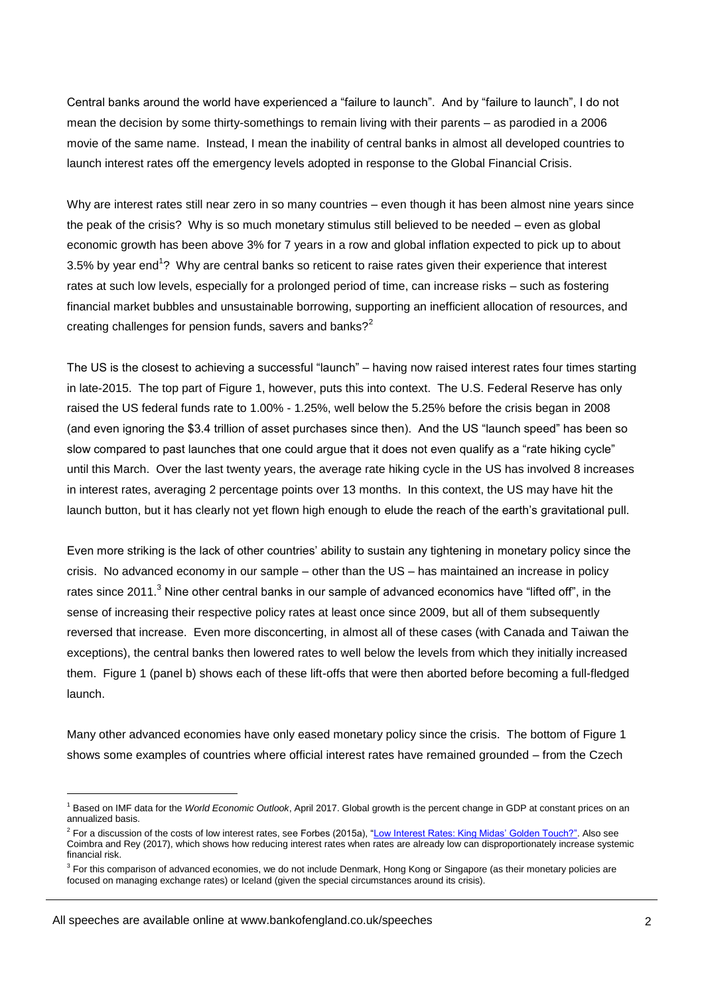Central banks around the world have experienced a "failure to launch". And by "failure to launch", I do not mean the decision by some thirty-somethings to remain living with their parents – as parodied in a 2006 movie of the same name. Instead, I mean the inability of central banks in almost all developed countries to launch interest rates off the emergency levels adopted in response to the Global Financial Crisis.

Why are interest rates still near zero in so many countries – even though it has been almost nine years since the peak of the crisis? Why is so much monetary stimulus still believed to be needed – even as global economic growth has been above 3% for 7 years in a row and global inflation expected to pick up to about 3.5% by year end<sup>1</sup>? Why are central banks so reticent to raise rates given their experience that interest rates at such low levels, especially for a prolonged period of time, can increase risks – such as fostering financial market bubbles and unsustainable borrowing, supporting an inefficient allocation of resources, and creating challenges for pension funds, savers and banks?<sup>2</sup>

The US is the closest to achieving a successful "launch" – having now raised interest rates four times starting in late-2015. The top part of Figure 1, however, puts this into context. The U.S. Federal Reserve has only raised the US federal funds rate to 1.00% - 1.25%, well below the 5.25% before the crisis began in 2008 (and even ignoring the \$3.4 trillion of asset purchases since then). And the US "launch speed" has been so slow compared to past launches that one could argue that it does not even qualify as a "rate hiking cycle" until this March. Over the last twenty years, the average rate hiking cycle in the US has involved 8 increases in interest rates, averaging 2 percentage points over 13 months. In this context, the US may have hit the launch button, but it has clearly not yet flown high enough to elude the reach of the earth's gravitational pull.

Even more striking is the lack of other countries' ability to sustain any tightening in monetary policy since the crisis. No advanced economy in our sample – other than the US – has maintained an increase in policy rates since 2011.<sup>3</sup> Nine other central banks in our sample of advanced economics have "lifted off", in the sense of increasing their respective policy rates at least once since 2009, but all of them subsequently reversed that increase. Even more disconcerting, in almost all of these cases (with Canada and Taiwan the exceptions), the central banks then lowered rates to well below the levels from which they initially increased them. Figure 1 (panel b) shows each of these lift-offs that were then aborted before becoming a full-fledged launch.

Many other advanced economies have only eased monetary policy since the crisis. The bottom of Figure 1 shows some examples of countries where official interest rates have remained grounded – from the Czech

All speeches are available online at www.bankofengland.co.uk/speeches

<sup>1</sup> Based on IMF data for the *World Economic Outlook*, April 2017. Global growth is the percent change in GDP at constant prices on an annualized basis.

<sup>&</sup>lt;sup>2</sup> For a discussion of the costs of low interest rates, see Forbes (2015a), ["Low Interest Rates: King Midas' Golden Touch?"](http://www.bankofengland.co.uk/publications/Documents/speeches/2015/speech798.pdf). Also see Coimbra and Rey (2017), which shows how reducing interest rates when rates are already low can disproportionately increase systemic financial risk.

<sup>&</sup>lt;sup>3</sup> For this comparison of advanced economies, we do not include Denmark, Hong Kong or Singapore (as their monetary policies are focused on managing exchange rates) or Iceland (given the special circumstances around its crisis).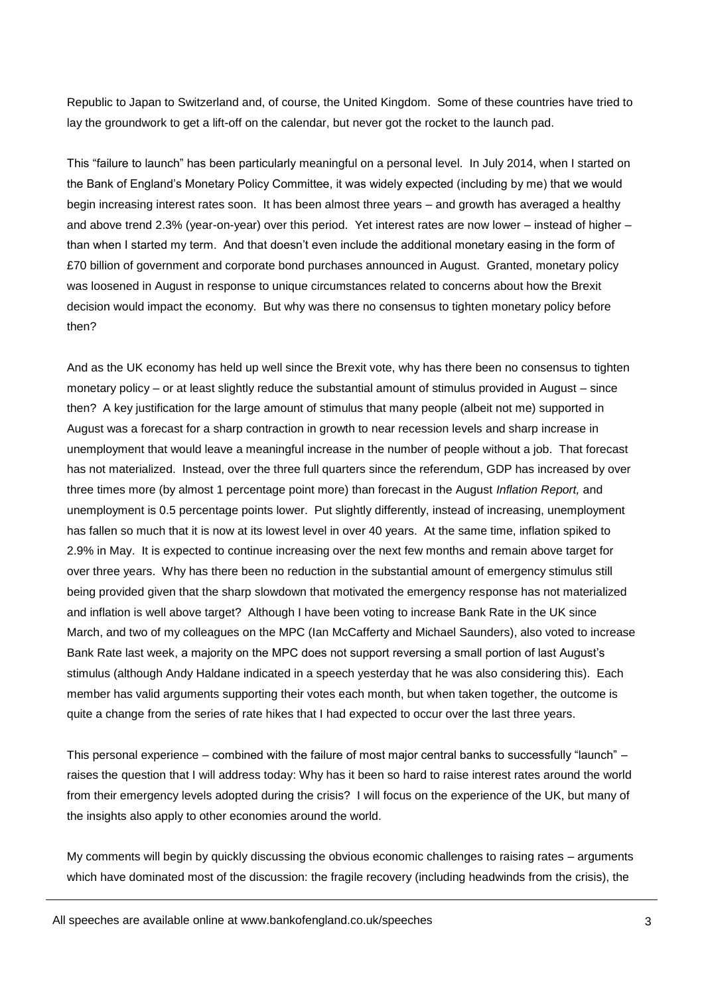Republic to Japan to Switzerland and, of course, the United Kingdom. Some of these countries have tried to lay the groundwork to get a lift-off on the calendar, but never got the rocket to the launch pad.

This "failure to launch" has been particularly meaningful on a personal level. In July 2014, when I started on the Bank of England's Monetary Policy Committee, it was widely expected (including by me) that we would begin increasing interest rates soon. It has been almost three years – and growth has averaged a healthy and above trend 2.3% (year-on-year) over this period. Yet interest rates are now lower – instead of higher – than when I started my term. And that doesn't even include the additional monetary easing in the form of £70 billion of government and corporate bond purchases announced in August. Granted, monetary policy was loosened in August in response to unique circumstances related to concerns about how the Brexit decision would impact the economy. But why was there no consensus to tighten monetary policy before then?

And as the UK economy has held up well since the Brexit vote, why has there been no consensus to tighten monetary policy – or at least slightly reduce the substantial amount of stimulus provided in August – since then? A key justification for the large amount of stimulus that many people (albeit not me) supported in August was a forecast for a sharp contraction in growth to near recession levels and sharp increase in unemployment that would leave a meaningful increase in the number of people without a job. That forecast has not materialized. Instead, over the three full quarters since the referendum, GDP has increased by over three times more (by almost 1 percentage point more) than forecast in the August *Inflation Report,* and unemployment is 0.5 percentage points lower. Put slightly differently, instead of increasing, unemployment has fallen so much that it is now at its lowest level in over 40 years. At the same time, inflation spiked to 2.9% in May. It is expected to continue increasing over the next few months and remain above target for over three years. Why has there been no reduction in the substantial amount of emergency stimulus still being provided given that the sharp slowdown that motivated the emergency response has not materialized and inflation is well above target? Although I have been voting to increase Bank Rate in the UK since March, and two of my colleagues on the MPC (Ian McCafferty and Michael Saunders), also voted to increase Bank Rate last week, a majority on the MPC does not support reversing a small portion of last August's stimulus (although Andy Haldane indicated in a speech yesterday that he was also considering this). Each member has valid arguments supporting their votes each month, but when taken together, the outcome is quite a change from the series of rate hikes that I had expected to occur over the last three years.

This personal experience – combined with the failure of most major central banks to successfully "launch" – raises the question that I will address today: Why has it been so hard to raise interest rates around the world from their emergency levels adopted during the crisis? I will focus on the experience of the UK, but many of the insights also apply to other economies around the world.

My comments will begin by quickly discussing the obvious economic challenges to raising rates – arguments which have dominated most of the discussion: the fragile recovery (including headwinds from the crisis), the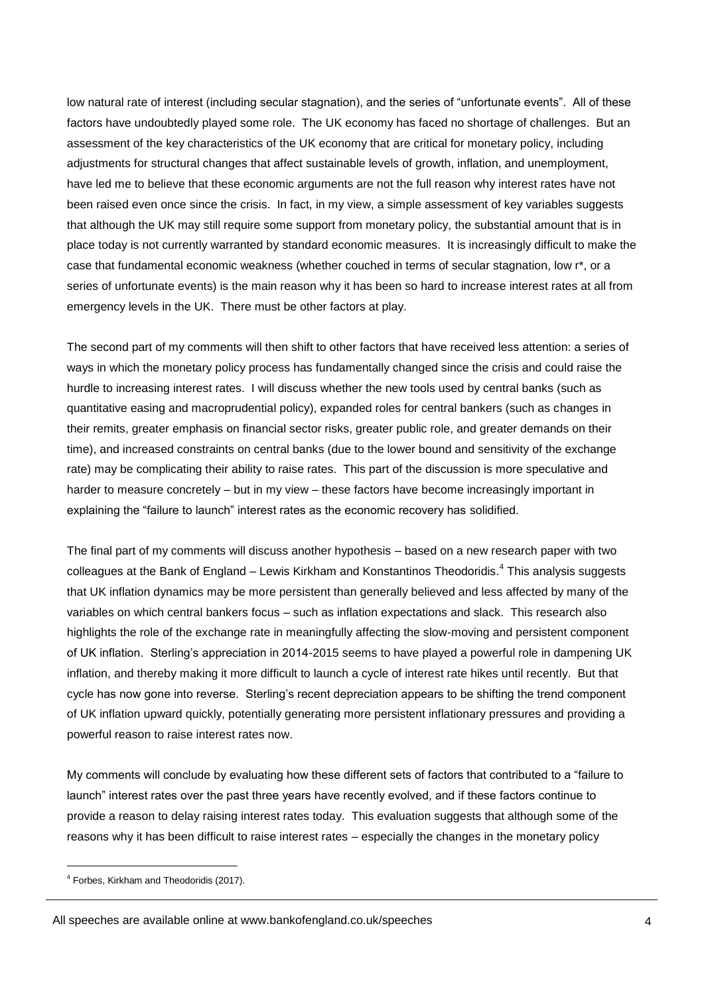low natural rate of interest (including secular stagnation), and the series of "unfortunate events". All of these factors have undoubtedly played some role. The UK economy has faced no shortage of challenges. But an assessment of the key characteristics of the UK economy that are critical for monetary policy, including adjustments for structural changes that affect sustainable levels of growth, inflation, and unemployment, have led me to believe that these economic arguments are not the full reason why interest rates have not been raised even once since the crisis. In fact, in my view, a simple assessment of key variables suggests that although the UK may still require some support from monetary policy, the substantial amount that is in place today is not currently warranted by standard economic measures. It is increasingly difficult to make the case that fundamental economic weakness (whether couched in terms of secular stagnation, low r\*, or a series of unfortunate events) is the main reason why it has been so hard to increase interest rates at all from emergency levels in the UK. There must be other factors at play.

The second part of my comments will then shift to other factors that have received less attention: a series of ways in which the monetary policy process has fundamentally changed since the crisis and could raise the hurdle to increasing interest rates. I will discuss whether the new tools used by central banks (such as quantitative easing and macroprudential policy), expanded roles for central bankers (such as changes in their remits, greater emphasis on financial sector risks, greater public role, and greater demands on their time), and increased constraints on central banks (due to the lower bound and sensitivity of the exchange rate) may be complicating their ability to raise rates. This part of the discussion is more speculative and harder to measure concretely – but in my view – these factors have become increasingly important in explaining the "failure to launch" interest rates as the economic recovery has solidified.

The final part of my comments will discuss another hypothesis – based on a new research paper with two colleagues at the Bank of England – Lewis Kirkham and Konstantinos Theodoridis.<sup>4</sup> This analysis suggests that UK inflation dynamics may be more persistent than generally believed and less affected by many of the variables on which central bankers focus – such as inflation expectations and slack. This research also highlights the role of the exchange rate in meaningfully affecting the slow-moving and persistent component of UK inflation. Sterling's appreciation in 2014-2015 seems to have played a powerful role in dampening UK inflation, and thereby making it more difficult to launch a cycle of interest rate hikes until recently. But that cycle has now gone into reverse. Sterling's recent depreciation appears to be shifting the trend component of UK inflation upward quickly, potentially generating more persistent inflationary pressures and providing a powerful reason to raise interest rates now.

My comments will conclude by evaluating how these different sets of factors that contributed to a "failure to launch" interest rates over the past three years have recently evolved, and if these factors continue to provide a reason to delay raising interest rates today. This evaluation suggests that although some of the reasons why it has been difficult to raise interest rates – especially the changes in the monetary policy

1

All speeches are available online at www.bankofengland.co.uk/speeches

<sup>&</sup>lt;sup>4</sup> Forbes, Kirkham and Theodoridis (2017).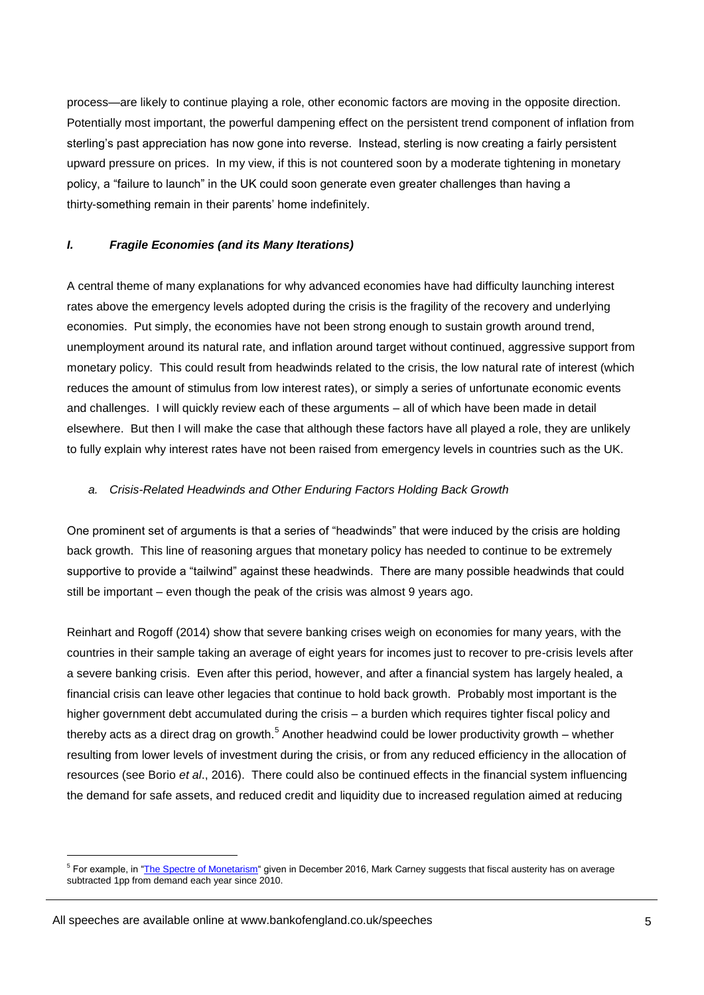process—are likely to continue playing a role, other economic factors are moving in the opposite direction. Potentially most important, the powerful dampening effect on the persistent trend component of inflation from sterling's past appreciation has now gone into reverse. Instead, sterling is now creating a fairly persistent upward pressure on prices. In my view, if this is not countered soon by a moderate tightening in monetary policy, a "failure to launch" in the UK could soon generate even greater challenges than having a thirty-something remain in their parents' home indefinitely.

## *I. Fragile Economies (and its Many Iterations)*

A central theme of many explanations for why advanced economies have had difficulty launching interest rates above the emergency levels adopted during the crisis is the fragility of the recovery and underlying economies. Put simply, the economies have not been strong enough to sustain growth around trend, unemployment around its natural rate, and inflation around target without continued, aggressive support from monetary policy. This could result from headwinds related to the crisis, the low natural rate of interest (which reduces the amount of stimulus from low interest rates), or simply a series of unfortunate economic events and challenges. I will quickly review each of these arguments – all of which have been made in detail elsewhere. But then I will make the case that although these factors have all played a role, they are unlikely to fully explain why interest rates have not been raised from emergency levels in countries such as the UK.

#### *a. Crisis-Related Headwinds and Other Enduring Factors Holding Back Growth*

One prominent set of arguments is that a series of "headwinds" that were induced by the crisis are holding back growth. This line of reasoning argues that monetary policy has needed to continue to be extremely supportive to provide a "tailwind" against these headwinds. There are many possible headwinds that could still be important – even though the peak of the crisis was almost 9 years ago.

Reinhart and Rogoff (2014) show that severe banking crises weigh on economies for many years, with the countries in their sample taking an average of eight years for incomes just to recover to pre-crisis levels after a severe banking crisis. Even after this period, however, and after a financial system has largely healed, a financial crisis can leave other legacies that continue to hold back growth. Probably most important is the higher government debt accumulated during the crisis – a burden which requires tighter fiscal policy and thereby acts as a direct drag on growth.<sup>5</sup> Another headwind could be lower productivity growth – whether resulting from lower levels of investment during the crisis, or from any reduced efficiency in the allocation of resources (see Borio *et al*., 2016). There could also be continued effects in the financial system influencing the demand for safe assets, and reduced credit and liquidity due to increased regulation aimed at reducing

<sup>&</sup>lt;sup>5</sup> For example, in ["The Spectre of Monetarism"](http://www.bankofengland.co.uk/publications/Documents/speeches/2016/speech946.pdf) given in December 2016, Mark Carney suggests that fiscal austerity has on average subtracted 1pp from demand each year since 2010.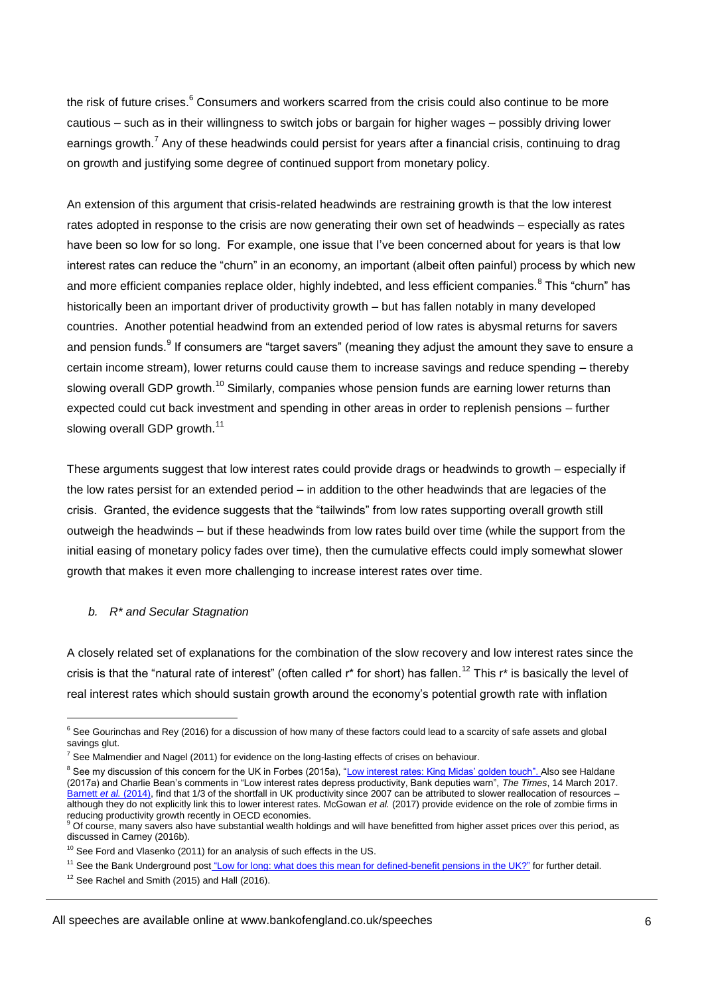the risk of future crises.<sup>6</sup> Consumers and workers scarred from the crisis could also continue to be more cautious – such as in their willingness to switch jobs or bargain for higher wages – possibly driving lower earnings growth.<sup>7</sup> Any of these headwinds could persist for years after a financial crisis, continuing to drag on growth and justifying some degree of continued support from monetary policy.

An extension of this argument that crisis-related headwinds are restraining growth is that the low interest rates adopted in response to the crisis are now generating their own set of headwinds – especially as rates have been so low for so long. For example, one issue that I've been concerned about for years is that low interest rates can reduce the "churn" in an economy, an important (albeit often painful) process by which new and more efficient companies replace older, highly indebted, and less efficient companies.<sup>8</sup> This "churn" has historically been an important driver of productivity growth – but has fallen notably in many developed countries. Another potential headwind from an extended period of low rates is abysmal returns for savers and pension funds.<sup>9</sup> If consumers are "target savers" (meaning they adjust the amount they save to ensure a certain income stream), lower returns could cause them to increase savings and reduce spending – thereby slowing overall GDP growth.<sup>10</sup> Similarly, companies whose pension funds are earning lower returns than expected could cut back investment and spending in other areas in order to replenish pensions – further slowing overall GDP growth. $^{11}$ 

These arguments suggest that low interest rates could provide drags or headwinds to growth – especially if the low rates persist for an extended period – in addition to the other headwinds that are legacies of the crisis. Granted, the evidence suggests that the "tailwinds" from low rates supporting overall growth still outweigh the headwinds – but if these headwinds from low rates build over time (while the support from the initial easing of monetary policy fades over time), then the cumulative effects could imply somewhat slower growth that makes it even more challenging to increase interest rates over time.

#### *b. R\* and Secular Stagnation*

1

A closely related set of explanations for the combination of the slow recovery and low interest rates since the crisis is that the "natural rate of interest" (often called  $r^*$  for short) has fallen.<sup>12</sup> This  $r^*$  is basically the level of real interest rates which should sustain growth around the economy's potential growth rate with inflation

 $12$  See Rachel and Smith (2015) and Hall (2016).

 $6$  See Gourinchas and Rey (2016) for a discussion of how many of these factors could lead to a scarcity of safe assets and global savings glut.

 $7$  See Malmendier and Nagel (2011) for evidence on the long-lasting effects of crises on behaviour.

<sup>&</sup>lt;sup>8</sup> See my discussion of this concern for the UK in Forbes (2015a), ["Low interest rates: King Midas' golden touch"](http://www.bankofengland.co.uk/publications/Documents/speeches/2015/speech798.pdf). Also see Haldane (2017a) and Charlie Bean's comments in "Low interest rates depress productivity, Bank deputies warn", *The Times*, 14 March 2017. [Barnett](http://www.bankofengland.co.uk/research/Documents/workingpapers/2014/wp495.pdf) *et al.* (2014), find that 1/3 of the shortfall in UK productivity since 2007 can be attributed to slower reallocation of resources – although they do not explicitly link this to lower interest rates. McGowan *et al.* (2017) provide evidence on the role of zombie firms in reducing productivity growth recently in OECD economies.

<sup>9</sup> Of course, many savers also have substantial wealth holdings and will have benefitted from higher asset prices over this period, as discussed in Carney (2016b).

<sup>&</sup>lt;sup>10</sup> See Ford and Vlasenko (2011) for an analysis of such effects in the US.

<sup>&</sup>lt;sup>11</sup> See the Bank Underground post ["Low for long: what does this mean for defined-benefit pensions in the UK?"](https://bankunderground.co.uk/2017/03/02/low-for-long-what-does-this-mean-for-defined-benefit-pensions-in-the-uk/) for further detail.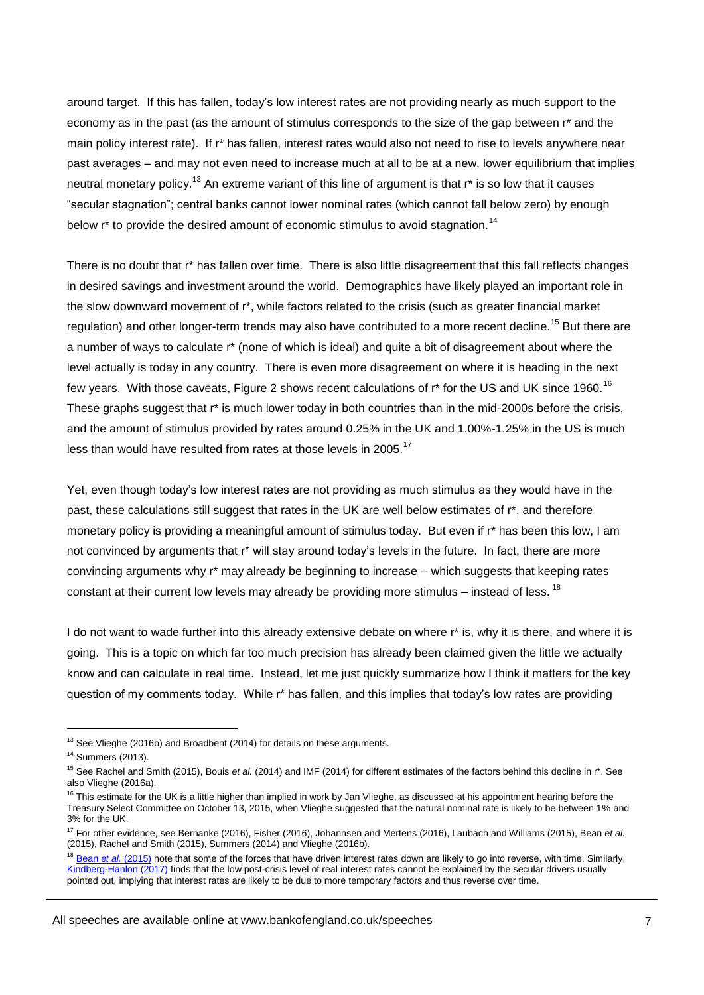around target. If this has fallen, today's low interest rates are not providing nearly as much support to the economy as in the past (as the amount of stimulus corresponds to the size of the gap between r\* and the main policy interest rate). If r\* has fallen, interest rates would also not need to rise to levels anywhere near past averages – and may not even need to increase much at all to be at a new, lower equilibrium that implies neutral monetary policy.<sup>13</sup> An extreme variant of this line of argument is that r<sup>\*</sup> is so low that it causes "secular stagnation"; central banks cannot lower nominal rates (which cannot fall below zero) by enough below  $r^*$  to provide the desired amount of economic stimulus to avoid stagnation.<sup>14</sup>

There is no doubt that r\* has fallen over time. There is also little disagreement that this fall reflects changes in desired savings and investment around the world. Demographics have likely played an important role in the slow downward movement of r\*, while factors related to the crisis (such as greater financial market regulation) and other longer-term trends may also have contributed to a more recent decline.<sup>15</sup> But there are a number of ways to calculate r\* (none of which is ideal) and quite a bit of disagreement about where the level actually is today in any country. There is even more disagreement on where it is heading in the next few years. With those caveats, Figure 2 shows recent calculations of  $r^*$  for the US and UK since 1960.<sup>16</sup> These graphs suggest that r\* is much lower today in both countries than in the mid-2000s before the crisis, and the amount of stimulus provided by rates around 0.25% in the UK and 1.00%-1.25% in the US is much less than would have resulted from rates at those levels in 2005.<sup>17</sup>

Yet, even though today's low interest rates are not providing as much stimulus as they would have in the past, these calculations still suggest that rates in the UK are well below estimates of r\*, and therefore monetary policy is providing a meaningful amount of stimulus today. But even if r\* has been this low, I am not convinced by arguments that r\* will stay around today's levels in the future. In fact, there are more convincing arguments why r\* may already be beginning to increase – which suggests that keeping rates constant at their current low levels may already be providing more stimulus – instead of less.<sup>18</sup>

I do not want to wade further into this already extensive debate on where r<sup>\*</sup> is, why it is there, and where it is going. This is a topic on which far too much precision has already been claimed given the little we actually know and can calculate in real time. Instead, let me just quickly summarize how I think it matters for the key question of my comments today. While r<sup>\*</sup> has fallen, and this implies that today's low rates are providing

<sup>&</sup>lt;sup>13</sup> See Vlieghe (2016b) and Broadbent (2014) for details on these arguments.

<sup>14</sup> Summers (2013).

<sup>&</sup>lt;sup>15</sup> See Rachel and Smith (2015), Bouis *et al.* (2014) and IMF (2014) for different estimates of the factors behind this decline in r<sup>\*</sup>. See also Vlieghe (2016a).

 $16$  This estimate for the UK is a little higher than implied in work by Jan Vlieghe, as discussed at his appointment hearing before the Treasury Select Committee on October 13, 2015, when Vlieghe suggested that the natural nominal rate is likely to be between 1% and 3% for the UK.

<sup>17</sup> For other evidence, see Bernanke (2016), Fisher (2016), Johannsen and Mertens (2016), Laubach and Williams (2015), Bean *et al.* (2015), Rachel and Smith (2015), Summers (2014) and Vlieghe (2016b).

<sup>&</sup>lt;sup>18</sup> Bean et al. [\(2015\)](http://voxeu.org/sites/default/files/file/Geneva17_28sept.pdf) note that some of the forces that have driven interest rates down are likely to go into reverse, with time. Similarly, [Kindberg-Hanlon \(2017\)](https://bankunderground.co.uk/2017/02/16/low-real-interest-rates-depression-economics-not-secular-trends/) finds that the low post-crisis level of real interest rates cannot be explained by the secular drivers usually pointed out, implying that interest rates are likely to be due to more temporary factors and thus reverse over time.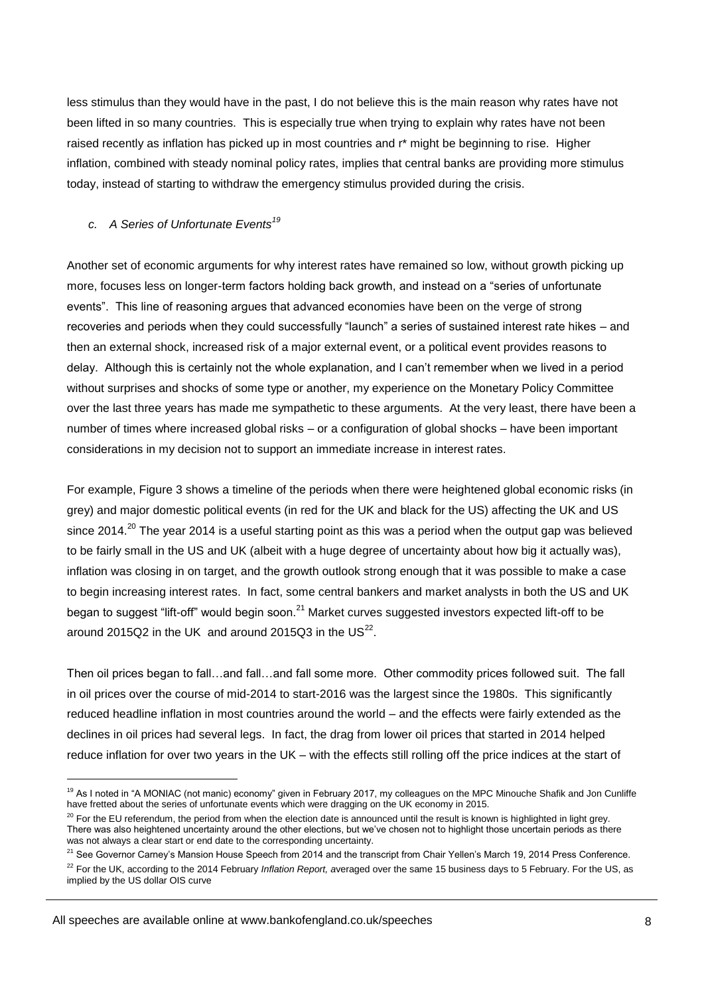less stimulus than they would have in the past, I do not believe this is the main reason why rates have not been lifted in so many countries. This is especially true when trying to explain why rates have not been raised recently as inflation has picked up in most countries and r\* might be beginning to rise. Higher inflation, combined with steady nominal policy rates, implies that central banks are providing more stimulus today, instead of starting to withdraw the emergency stimulus provided during the crisis.

## *c. A Series of Unfortunate Events<sup>19</sup>*

Another set of economic arguments for why interest rates have remained so low, without growth picking up more, focuses less on longer-term factors holding back growth, and instead on a "series of unfortunate events". This line of reasoning argues that advanced economies have been on the verge of strong recoveries and periods when they could successfully "launch" a series of sustained interest rate hikes – and then an external shock, increased risk of a major external event, or a political event provides reasons to delay. Although this is certainly not the whole explanation, and I can't remember when we lived in a period without surprises and shocks of some type or another, my experience on the Monetary Policy Committee over the last three years has made me sympathetic to these arguments. At the very least, there have been a number of times where increased global risks – or a configuration of global shocks – have been important considerations in my decision not to support an immediate increase in interest rates.

For example, Figure 3 shows a timeline of the periods when there were heightened global economic risks (in grey) and major domestic political events (in red for the UK and black for the US) affecting the UK and US since 2014.<sup>20</sup> The year 2014 is a useful starting point as this was a period when the output gap was believed to be fairly small in the US and UK (albeit with a huge degree of uncertainty about how big it actually was), inflation was closing in on target, and the growth outlook strong enough that it was possible to make a case to begin increasing interest rates. In fact, some central bankers and market analysts in both the US and UK began to suggest "lift-off" would begin soon.<sup>21</sup> Market curves suggested investors expected lift-off to be around 2015Q2 in the UK and around 2015Q3 in the US $^{22}$ .

Then oil prices began to fall…and fall…and fall some more. Other commodity prices followed suit. The fall in oil prices over the course of mid-2014 to start-2016 was the largest since the 1980s. This significantly reduced headline inflation in most countries around the world – and the effects were fairly extended as the declines in oil prices had several legs. In fact, the drag from lower oil prices that started in 2014 helped reduce inflation for over two years in the UK – with the effects still rolling off the price indices at the start of

All speeches are available online at www.bankofengland.co.uk/speeches

<sup>&</sup>lt;sup>19</sup> As I noted in "A MONIAC (not manic) economy" given in February 2017, my colleagues on the MPC Minouche Shafik and Jon Cunliffe have fretted about the series of unfortunate events which were dragging on the UK economy in 2015.

<sup>&</sup>lt;sup>20</sup> For the EU referendum, the period from when the election date is announced until the result is known is highlighted in light grey. There was also heightened uncertainty around the other elections, but we've chosen not to highlight those uncertain periods as there was not always a clear start or end date to the corresponding uncertainty.

<sup>&</sup>lt;sup>21</sup> See Governor Carney's Mansion House Speech from 2014 and the transcript from Chair Yellen's March 19, 2014 Press Conference. <sup>22</sup> For the UK, according to the 2014 February *Inflation Report, a*veraged over the same 15 business days to 5 February. For the US, as implied by the US dollar OIS curve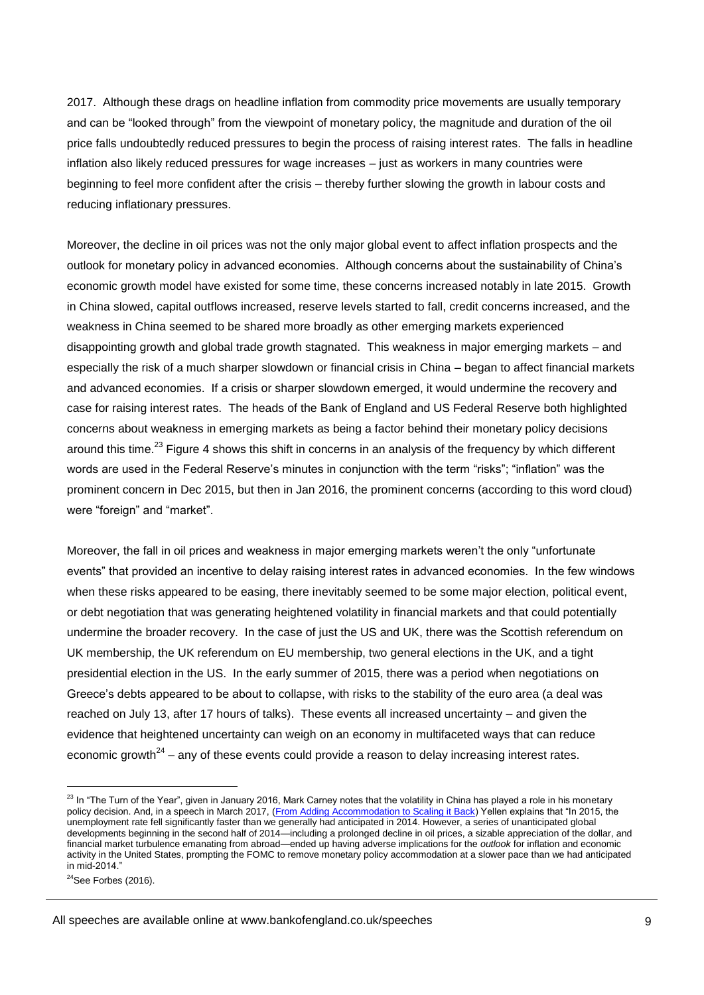2017. Although these drags on headline inflation from commodity price movements are usually temporary and can be "looked through" from the viewpoint of monetary policy, the magnitude and duration of the oil price falls undoubtedly reduced pressures to begin the process of raising interest rates. The falls in headline inflation also likely reduced pressures for wage increases – just as workers in many countries were beginning to feel more confident after the crisis – thereby further slowing the growth in labour costs and reducing inflationary pressures.

Moreover, the decline in oil prices was not the only major global event to affect inflation prospects and the outlook for monetary policy in advanced economies. Although concerns about the sustainability of China's economic growth model have existed for some time, these concerns increased notably in late 2015. Growth in China slowed, capital outflows increased, reserve levels started to fall, credit concerns increased, and the weakness in China seemed to be shared more broadly as other emerging markets experienced disappointing growth and global trade growth stagnated. This weakness in major emerging markets – and especially the risk of a much sharper slowdown or financial crisis in China – began to affect financial markets and advanced economies. If a crisis or sharper slowdown emerged, it would undermine the recovery and case for raising interest rates. The heads of the Bank of England and US Federal Reserve both highlighted concerns about weakness in emerging markets as being a factor behind their monetary policy decisions around this time.<sup>23</sup> Figure 4 shows this shift in concerns in an analysis of the frequency by which different words are used in the Federal Reserve's minutes in conjunction with the term "risks"; "inflation" was the prominent concern in Dec 2015, but then in Jan 2016, the prominent concerns (according to this word cloud) were "foreign" and "market".

Moreover, the fall in oil prices and weakness in major emerging markets weren't the only "unfortunate events" that provided an incentive to delay raising interest rates in advanced economies. In the few windows when these risks appeared to be easing, there inevitably seemed to be some major election, political event, or debt negotiation that was generating heightened volatility in financial markets and that could potentially undermine the broader recovery. In the case of just the US and UK, there was the Scottish referendum on UK membership, the UK referendum on EU membership, two general elections in the UK, and a tight presidential election in the US. In the early summer of 2015, there was a period when negotiations on Greece's debts appeared to be about to collapse, with risks to the stability of the euro area (a deal was reached on July 13, after 17 hours of talks). These events all increased uncertainty – and given the evidence that heightened uncertainty can weigh on an economy in multifaceted ways that can reduce economic growth<sup>24</sup> – any of these events could provide a reason to delay increasing interest rates.

All speeches are available online at www.bankofengland.co.uk/speeches

 $23$  In "The Turn of the Year", given in January 2016, Mark Carney notes that the volatility in China has played a role in his monetary policy decision. And, in a speech in March 2017, [\(From Adding Accommodation to Scaling it Back\)](https://www.federalreserve.gov/newsevents/speech/yellen20170303a.htm) Yellen explains that "In 2015, the unemployment rate fell significantly faster than we generally had anticipated in 2014. However, a series of unanticipated global developments beginning in the second half of 2014—including a prolonged decline in oil prices, a sizable appreciation of the dollar, and financial market turbulence emanating from abroad—ended up having adverse implications for the *outlook* for inflation and economic activity in the United States, prompting the FOMC to remove monetary policy accommodation at a slower pace than we had anticipated in mid-2014."

 $24$ See Forbes (2016).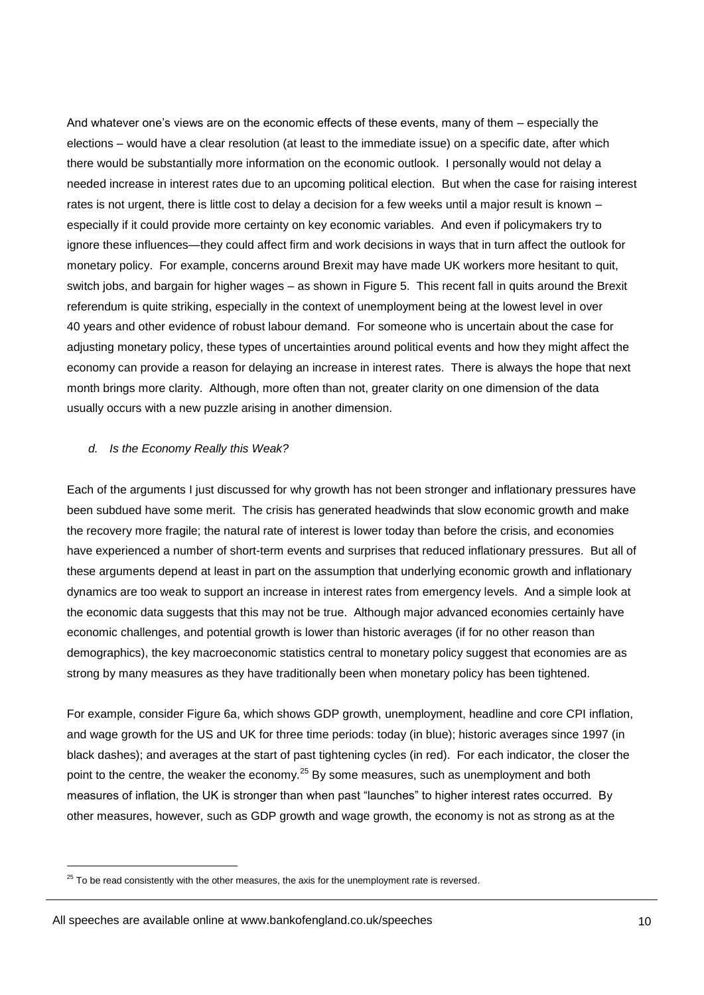And whatever one's views are on the economic effects of these events, many of them – especially the elections – would have a clear resolution (at least to the immediate issue) on a specific date, after which there would be substantially more information on the economic outlook. I personally would not delay a needed increase in interest rates due to an upcoming political election. But when the case for raising interest rates is not urgent, there is little cost to delay a decision for a few weeks until a major result is known – especially if it could provide more certainty on key economic variables. And even if policymakers try to ignore these influences—they could affect firm and work decisions in ways that in turn affect the outlook for monetary policy. For example, concerns around Brexit may have made UK workers more hesitant to quit, switch jobs, and bargain for higher wages – as shown in Figure 5. This recent fall in quits around the Brexit referendum is quite striking, especially in the context of unemployment being at the lowest level in over 40 years and other evidence of robust labour demand. For someone who is uncertain about the case for adjusting monetary policy, these types of uncertainties around political events and how they might affect the economy can provide a reason for delaying an increase in interest rates. There is always the hope that next month brings more clarity. Although, more often than not, greater clarity on one dimension of the data usually occurs with a new puzzle arising in another dimension.

#### *d. Is the Economy Really this Weak?*

Each of the arguments I just discussed for why growth has not been stronger and inflationary pressures have been subdued have some merit. The crisis has generated headwinds that slow economic growth and make the recovery more fragile; the natural rate of interest is lower today than before the crisis, and economies have experienced a number of short-term events and surprises that reduced inflationary pressures. But all of these arguments depend at least in part on the assumption that underlying economic growth and inflationary dynamics are too weak to support an increase in interest rates from emergency levels. And a simple look at the economic data suggests that this may not be true. Although major advanced economies certainly have economic challenges, and potential growth is lower than historic averages (if for no other reason than demographics), the key macroeconomic statistics central to monetary policy suggest that economies are as strong by many measures as they have traditionally been when monetary policy has been tightened.

For example, consider Figure 6a, which shows GDP growth, unemployment, headline and core CPI inflation, and wage growth for the US and UK for three time periods: today (in blue); historic averages since 1997 (in black dashes); and averages at the start of past tightening cycles (in red). For each indicator, the closer the point to the centre, the weaker the economy.<sup>25</sup> By some measures, such as unemployment and both measures of inflation, the UK is stronger than when past "launches" to higher interest rates occurred. By other measures, however, such as GDP growth and wage growth, the economy is not as strong as at the

 $25$  To be read consistently with the other measures, the axis for the unemployment rate is reversed.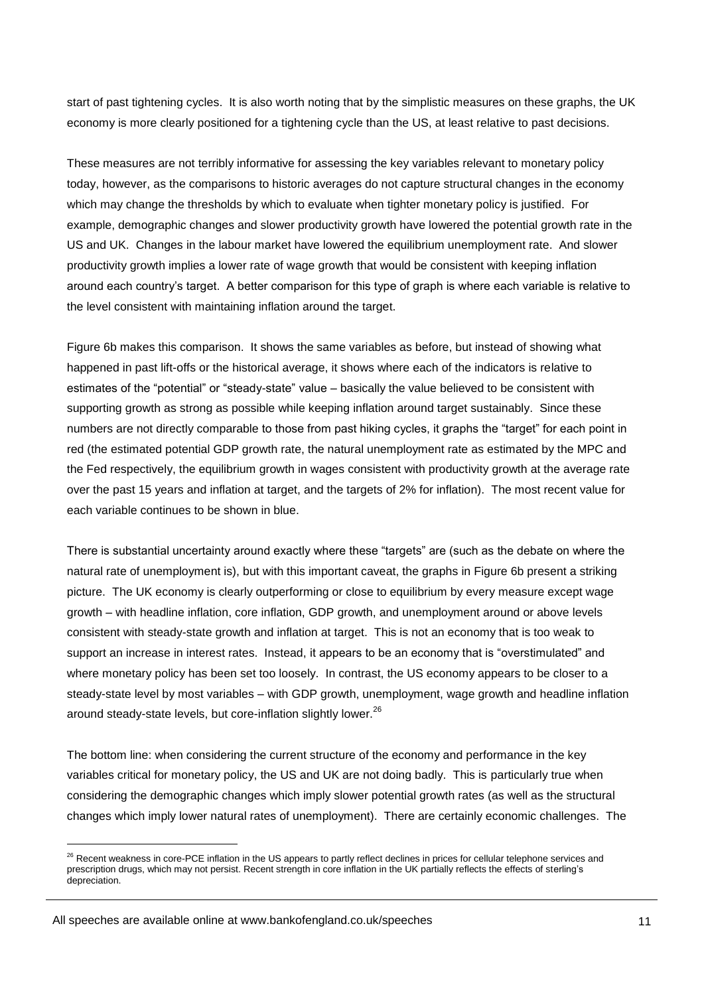start of past tightening cycles. It is also worth noting that by the simplistic measures on these graphs, the UK economy is more clearly positioned for a tightening cycle than the US, at least relative to past decisions.

These measures are not terribly informative for assessing the key variables relevant to monetary policy today, however, as the comparisons to historic averages do not capture structural changes in the economy which may change the thresholds by which to evaluate when tighter monetary policy is justified. For example, demographic changes and slower productivity growth have lowered the potential growth rate in the US and UK. Changes in the labour market have lowered the equilibrium unemployment rate. And slower productivity growth implies a lower rate of wage growth that would be consistent with keeping inflation around each country's target. A better comparison for this type of graph is where each variable is relative to the level consistent with maintaining inflation around the target.

Figure 6b makes this comparison. It shows the same variables as before, but instead of showing what happened in past lift-offs or the historical average, it shows where each of the indicators is relative to estimates of the "potential" or "steady-state" value – basically the value believed to be consistent with supporting growth as strong as possible while keeping inflation around target sustainably. Since these numbers are not directly comparable to those from past hiking cycles, it graphs the "target" for each point in red (the estimated potential GDP growth rate, the natural unemployment rate as estimated by the MPC and the Fed respectively, the equilibrium growth in wages consistent with productivity growth at the average rate over the past 15 years and inflation at target, and the targets of 2% for inflation). The most recent value for each variable continues to be shown in blue.

There is substantial uncertainty around exactly where these "targets" are (such as the debate on where the natural rate of unemployment is), but with this important caveat, the graphs in Figure 6b present a striking picture. The UK economy is clearly outperforming or close to equilibrium by every measure except wage growth – with headline inflation, core inflation, GDP growth, and unemployment around or above levels consistent with steady-state growth and inflation at target. This is not an economy that is too weak to support an increase in interest rates. Instead, it appears to be an economy that is "overstimulated" and where monetary policy has been set too loosely. In contrast, the US economy appears to be closer to a steady-state level by most variables – with GDP growth, unemployment, wage growth and headline inflation around steady-state levels, but core-inflation slightly lower.<sup>26</sup>

The bottom line: when considering the current structure of the economy and performance in the key variables critical for monetary policy, the US and UK are not doing badly. This is particularly true when considering the demographic changes which imply slower potential growth rates (as well as the structural changes which imply lower natural rates of unemployment). There are certainly economic challenges. The

<sup>&</sup>lt;sup>26</sup> Recent weakness in core-PCE inflation in the US appears to partly reflect declines in prices for cellular telephone services and prescription drugs, which may not persist. Recent strength in core inflation in the UK partially reflects the effects of sterling's depreciation.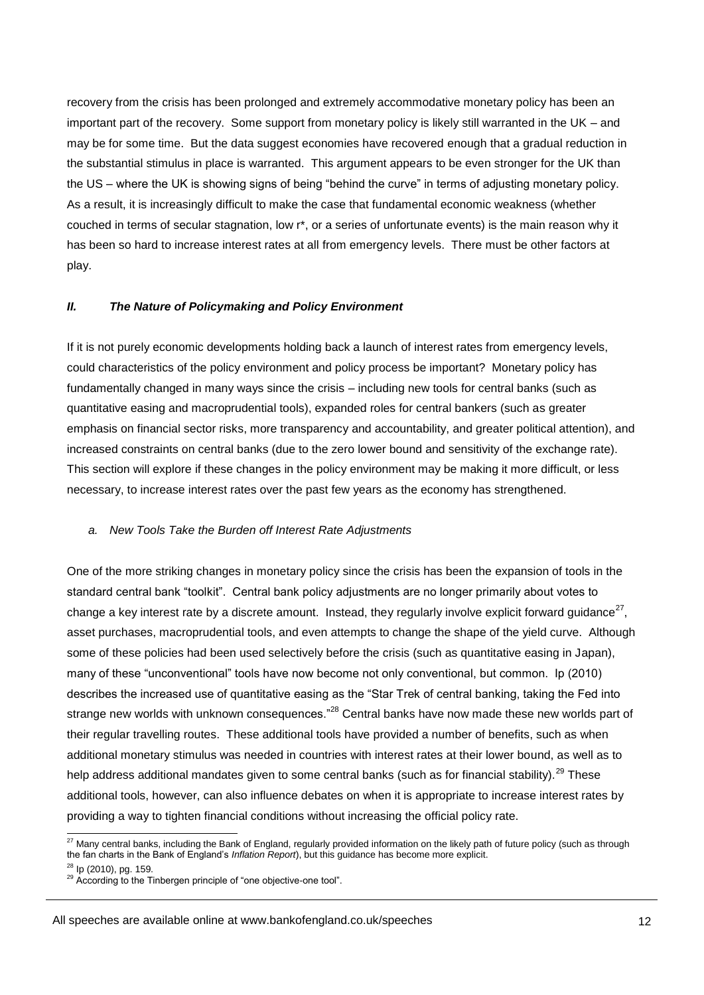recovery from the crisis has been prolonged and extremely accommodative monetary policy has been an important part of the recovery. Some support from monetary policy is likely still warranted in the UK – and may be for some time. But the data suggest economies have recovered enough that a gradual reduction in the substantial stimulus in place is warranted. This argument appears to be even stronger for the UK than the US – where the UK is showing signs of being "behind the curve" in terms of adjusting monetary policy. As a result, it is increasingly difficult to make the case that fundamental economic weakness (whether couched in terms of secular stagnation, low r\*, or a series of unfortunate events) is the main reason why it has been so hard to increase interest rates at all from emergency levels. There must be other factors at play.

## *II. The Nature of Policymaking and Policy Environment*

If it is not purely economic developments holding back a launch of interest rates from emergency levels, could characteristics of the policy environment and policy process be important? Monetary policy has fundamentally changed in many ways since the crisis – including new tools for central banks (such as quantitative easing and macroprudential tools), expanded roles for central bankers (such as greater emphasis on financial sector risks, more transparency and accountability, and greater political attention), and increased constraints on central banks (due to the zero lower bound and sensitivity of the exchange rate). This section will explore if these changes in the policy environment may be making it more difficult, or less necessary, to increase interest rates over the past few years as the economy has strengthened.

#### *a. New Tools Take the Burden off Interest Rate Adjustments*

One of the more striking changes in monetary policy since the crisis has been the expansion of tools in the standard central bank "toolkit". Central bank policy adjustments are no longer primarily about votes to change a key interest rate by a discrete amount. Instead, they regularly involve explicit forward guidance $^{27}$ , asset purchases, macroprudential tools, and even attempts to change the shape of the yield curve. Although some of these policies had been used selectively before the crisis (such as quantitative easing in Japan), many of these "unconventional" tools have now become not only conventional, but common. Ip (2010) describes the increased use of quantitative easing as the "Star Trek of central banking, taking the Fed into strange new worlds with unknown consequences."<sup>28</sup> Central banks have now made these new worlds part of their regular travelling routes. These additional tools have provided a number of benefits, such as when additional monetary stimulus was needed in countries with interest rates at their lower bound, as well as to help address additional mandates given to some central banks (such as for financial stability).<sup>29</sup> These additional tools, however, can also influence debates on when it is appropriate to increase interest rates by providing a way to tighten financial conditions without increasing the official policy rate.

 $^{27}$  Many central banks, including the Bank of England, regularly provided information on the likely path of future policy (such as through the fan charts in the Bank of England's *Inflation Report*), but this guidance has become more explicit. <sup>28</sup> lp (2010), pg. 159.

 $29$  According to the Tinbergen principle of "one objective-one tool".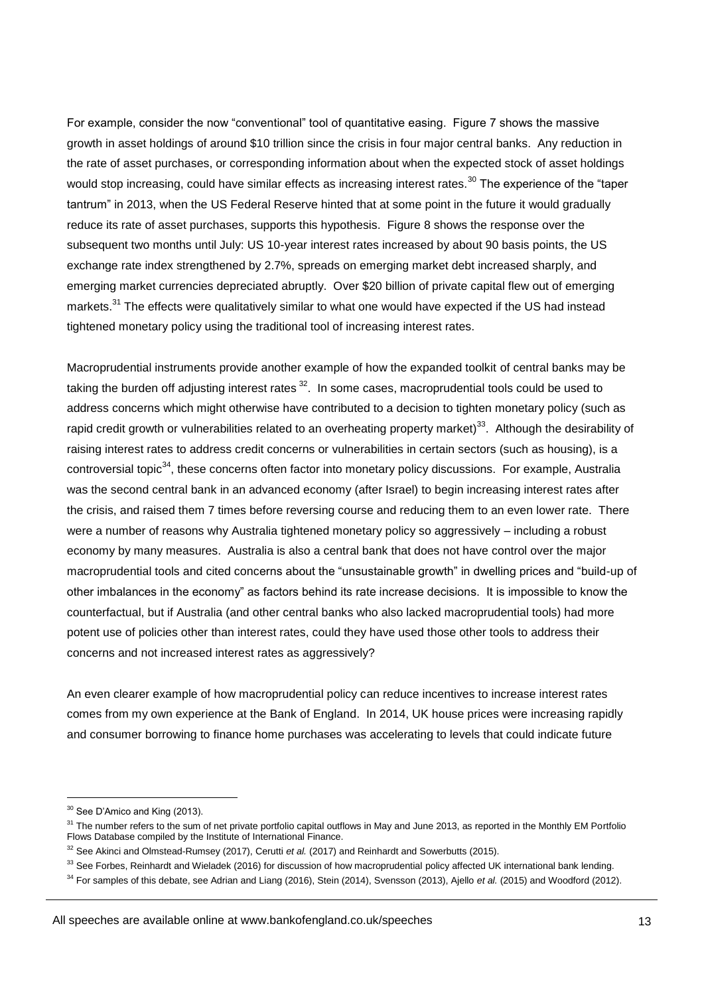For example, consider the now "conventional" tool of quantitative easing. Figure 7 shows the massive growth in asset holdings of around \$10 trillion since the crisis in four major central banks. Any reduction in the rate of asset purchases, or corresponding information about when the expected stock of asset holdings would stop increasing, could have similar effects as increasing interest rates.<sup>30</sup> The experience of the "taper tantrum" in 2013, when the US Federal Reserve hinted that at some point in the future it would gradually reduce its rate of asset purchases, supports this hypothesis. Figure 8 shows the response over the subsequent two months until July: US 10-year interest rates increased by about 90 basis points, the US exchange rate index strengthened by 2.7%, spreads on emerging market debt increased sharply, and emerging market currencies depreciated abruptly. Over \$20 billion of private capital flew out of emerging markets.<sup>31</sup> The effects were qualitatively similar to what one would have expected if the US had instead tightened monetary policy using the traditional tool of increasing interest rates.

Macroprudential instruments provide another example of how the expanded toolkit of central banks may be taking the burden off adjusting interest rates  $32$ . In some cases, macroprudential tools could be used to address concerns which might otherwise have contributed to a decision to tighten monetary policy (such as rapid credit growth or vulnerabilities related to an overheating property market)<sup>33</sup>. Although the desirability of raising interest rates to address credit concerns or vulnerabilities in certain sectors (such as housing), is a controversial topic $34$ , these concerns often factor into monetary policy discussions. For example, Australia was the second central bank in an advanced economy (after Israel) to begin increasing interest rates after the crisis, and raised them 7 times before reversing course and reducing them to an even lower rate. There were a number of reasons why Australia tightened monetary policy so aggressively – including a robust economy by many measures. Australia is also a central bank that does not have control over the major macroprudential tools and cited concerns about the "unsustainable growth" in dwelling prices and "build-up of other imbalances in the economy" as factors behind its rate increase decisions. It is impossible to know the counterfactual, but if Australia (and other central banks who also lacked macroprudential tools) had more potent use of policies other than interest rates, could they have used those other tools to address their concerns and not increased interest rates as aggressively?

An even clearer example of how macroprudential policy can reduce incentives to increase interest rates comes from my own experience at the Bank of England. In 2014, UK house prices were increasing rapidly and consumer borrowing to finance home purchases was accelerating to levels that could indicate future

All speeches are available online at www.bankofengland.co.uk/speeches

<sup>&</sup>lt;sup>30</sup> See D'Amico and King (2013).

<sup>&</sup>lt;sup>31</sup> The number refers to the sum of net private portfolio capital outflows in May and June 2013, as reported in the Monthly EM Portfolio Flows Database compiled by the Institute of International Finance.

<sup>32</sup> See Akinci and Olmstead-Rumsey (2017), Cerutti *et al.* (2017) and Reinhardt and Sowerbutts (2015).

 $33$  See Forbes, Reinhardt and Wieladek (2016) for discussion of how macroprudential policy affected UK international bank lending.

<sup>34</sup> For samples of this debate, see Adrian and Liang (2016), Stein (2014), Svensson (2013), Ajello *et al.* (2015) and Woodford (2012).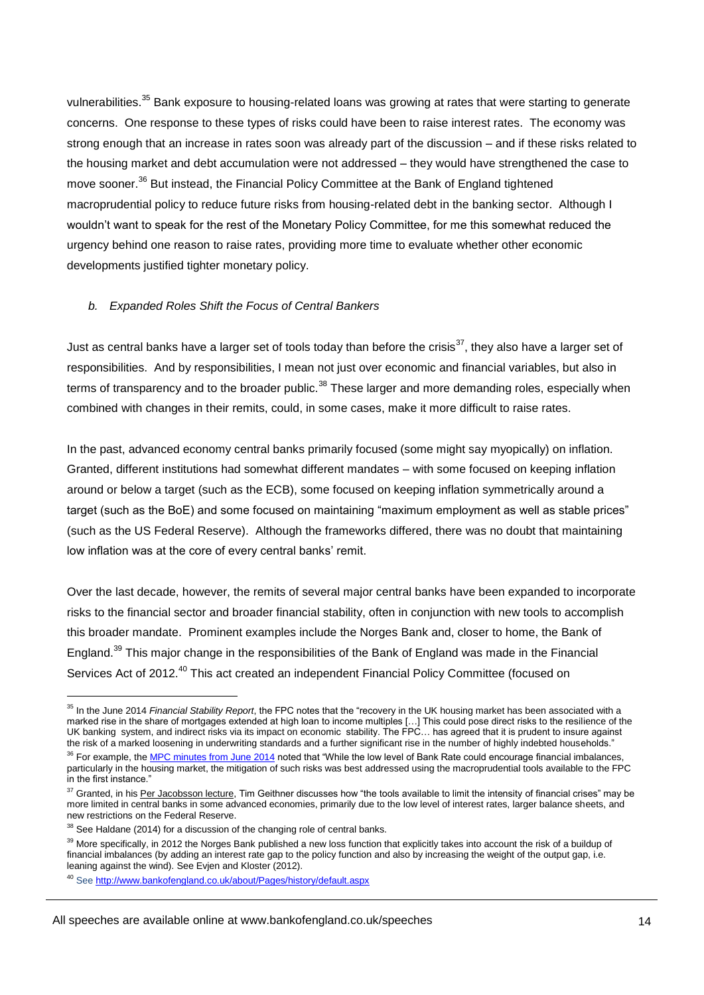vulnerabilities.<sup>35</sup> Bank exposure to housing-related loans was growing at rates that were starting to generate concerns. One response to these types of risks could have been to raise interest rates. The economy was strong enough that an increase in rates soon was already part of the discussion – and if these risks related to the housing market and debt accumulation were not addressed – they would have strengthened the case to move sooner.<sup>36</sup> But instead, the Financial Policy Committee at the Bank of England tightened macroprudential policy to reduce future risks from housing-related debt in the banking sector. Although I wouldn't want to speak for the rest of the Monetary Policy Committee, for me this somewhat reduced the urgency behind one reason to raise rates, providing more time to evaluate whether other economic developments justified tighter monetary policy.

#### *b. Expanded Roles Shift the Focus of Central Bankers*

Just as central banks have a larger set of tools today than before the crisis<sup>37</sup>, they also have a larger set of responsibilities. And by responsibilities, I mean not just over economic and financial variables, but also in terms of transparency and to the broader public.<sup>38</sup> These larger and more demanding roles, especially when combined with changes in their remits, could, in some cases, make it more difficult to raise rates.

In the past, advanced economy central banks primarily focused (some might say myopically) on inflation. Granted, different institutions had somewhat different mandates – with some focused on keeping inflation around or below a target (such as the ECB), some focused on keeping inflation symmetrically around a target (such as the BoE) and some focused on maintaining "maximum employment as well as stable prices" (such as the US Federal Reserve). Although the frameworks differed, there was no doubt that maintaining low inflation was at the core of every central banks' remit.

Over the last decade, however, the remits of several major central banks have been expanded to incorporate risks to the financial sector and broader financial stability, often in conjunction with new tools to accomplish this broader mandate. Prominent examples include the Norges Bank and, closer to home, the Bank of England.<sup>39</sup> This major change in the responsibilities of the Bank of England was made in the Financial Services Act of 2012.<sup>40</sup> This act created an independent Financial Policy Committee (focused on

<sup>35</sup> In the June 2014 *Financial Stability Report*, the FPC notes that the "recovery in the UK housing market has been associated with a marked rise in the share of mortgages extended at high loan to income multiples […] This could pose direct risks to the resilience of the UK banking system, and indirect risks via its impact on economic stability. The FPC… has agreed that it is prudent to insure against the risk of a marked loosening in underwriting standards and a further significant rise in the number of highly indebted households."

<sup>&</sup>lt;sup>36</sup> For example, th[e MPC minutes from June 2014](http://www.bankofengland.co.uk/publications/minutes/Documents/mpc/pdf/2014/mpc1406.pdf) noted that "While the low level of Bank Rate could encourage financial imbalances, particularly in the housing market, the mitigation of such risks was best addressed using the macroprudential tools available to the FPC in the first instance."

<sup>&</sup>lt;sup>37</sup> Granted, in hi[s Per Jacobsson lecture,](http://www.perjacobsson.org/lectures.htm) Tim Geithner discusses how "the tools available to limit the intensity of financial crises" may be more limited in central banks in some advanced economies, primarily due to the low level of interest rates, larger balance sheets, and new restrictions on the Federal Reserve.

<sup>38</sup> See Haldane (2014) for a discussion of the changing role of central banks.

<sup>39</sup> More specifically, in 2012 the Norges Bank published a new loss function that explicitly takes into account the risk of a buildup of financial imbalances (by adding an interest rate gap to the policy function and also by increasing the weight of the output gap, i.e. leaning against the wind). See Evjen and Kloster (2012).

<sup>40</sup> See<http://www.bankofengland.co.uk/about/Pages/history/default.aspx>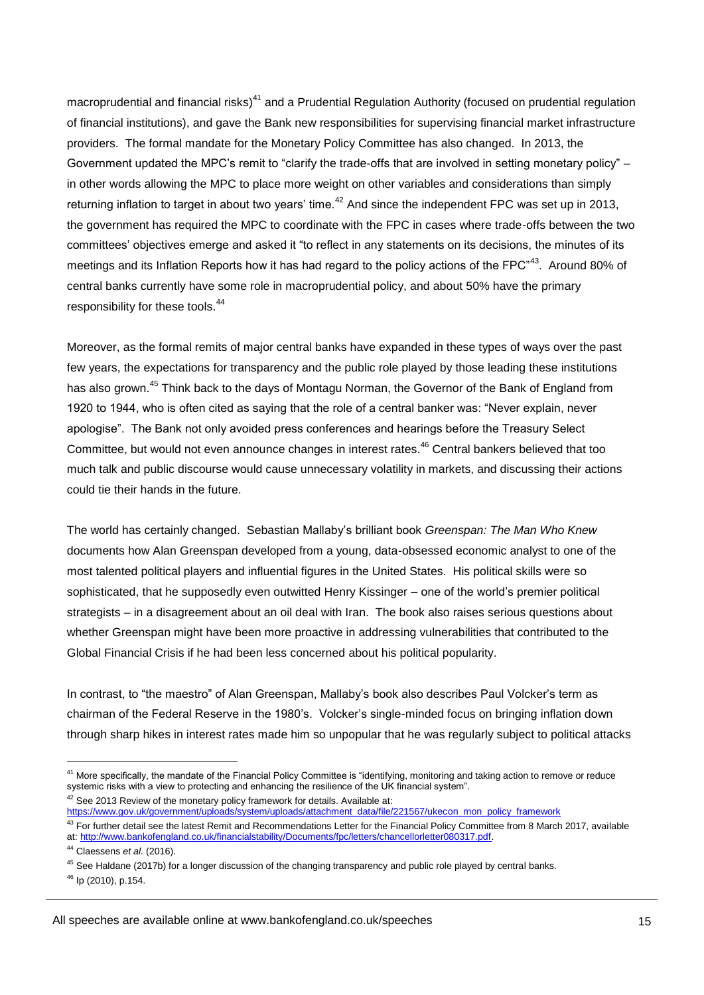macroprudential and financial risks)<sup>41</sup> and a Prudential Regulation Authority (focused on prudential regulation of financial institutions), and gave the Bank new responsibilities for supervising financial market infrastructure providers. The formal mandate for the Monetary Policy Committee has also changed. In 2013, the Government updated the MPC's remit to "clarify the trade-offs that are involved in setting monetary policy" – in other words allowing the MPC to place more weight on other variables and considerations than simply returning inflation to target in about two vears' time.<sup>42</sup> And since the independent FPC was set up in 2013, the government has required the MPC to coordinate with the FPC in cases where trade-offs between the two committees' objectives emerge and asked it "to reflect in any statements on its decisions, the minutes of its meetings and its Inflation Reports how it has had regard to the policy actions of the FPC<sup>"43</sup>. Around 80% of central banks currently have some role in macroprudential policy, and about 50% have the primary responsibility for these tools.<sup>44</sup>

Moreover, as the formal remits of major central banks have expanded in these types of ways over the past few years, the expectations for transparency and the public role played by those leading these institutions has also grown.<sup>45</sup> Think back to the days of Montagu Norman, the Governor of the Bank of England from 1920 to 1944, who is often cited as saying that the role of a central banker was: "Never explain, never apologise". The Bank not only avoided press conferences and hearings before the Treasury Select Committee, but would not even announce changes in interest rates.<sup>46</sup> Central bankers believed that too much talk and public discourse would cause unnecessary volatility in markets, and discussing their actions could tie their hands in the future.

The world has certainly changed. Sebastian Mallaby's brilliant book *Greenspan: The Man Who Knew*  documents how Alan Greenspan developed from a young, data-obsessed economic analyst to one of the most talented political players and influential figures in the United States. His political skills were so sophisticated, that he supposedly even outwitted Henry Kissinger – one of the world's premier political strategists – in a disagreement about an oil deal with Iran. The book also raises serious questions about whether Greenspan might have been more proactive in addressing vulnerabilities that contributed to the Global Financial Crisis if he had been less concerned about his political popularity.

In contrast, to "the maestro" of Alan Greenspan, Mallaby's book also describes Paul Volcker's term as chairman of the Federal Reserve in the 1980's. Volcker's single-minded focus on bringing inflation down through sharp hikes in interest rates made him so unpopular that he was regularly subject to political attacks

 $42$  See 2013 Review of the monetary policy framework for details. Available at:

 $46$  Ip (2010), p.154.

<sup>&</sup>lt;sup>41</sup> More specifically, the mandate of the Financial Policy Committee is "identifying, monitoring and taking action to remove or reduce systemic risks with a view to protecting and enhancing the resilience of the UK financial system".

[https://www.gov.uk/government/uploads/system/uploads/attachment\\_data/file/221567/ukecon\\_mon\\_policy\\_framework](https://www.gov.uk/government/uploads/system/uploads/attachment_data/file/221567/ukecon_mon_policy_framework)

 $43$  For further detail see the latest Remit and Recommendations Letter for the Financial Policy Committee from 8 March 2017, available at: [http://www.bankofengland.co.uk/financialstability/Documents/fpc/letters/chancellorletter080317.pdf.](http://www.bankofengland.co.uk/financialstability/Documents/fpc/letters/chancellorletter080317.pdf)

<sup>44</sup> Claessens *et al.* (2016).

 $45$  See Haldane (2017b) for a longer discussion of the changing transparency and public role played by central banks.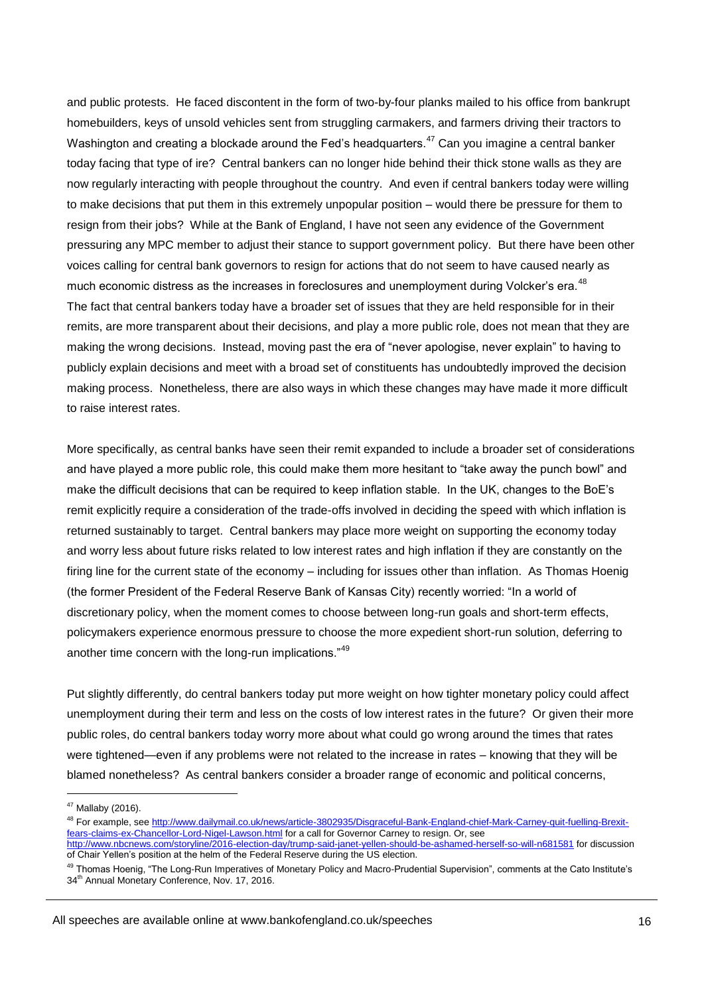and public protests. He faced discontent in the form of two-by-four planks mailed to his office from bankrupt homebuilders, keys of unsold vehicles sent from struggling carmakers, and farmers driving their tractors to Washington and creating a blockade around the Fed's headquarters.<sup>47</sup> Can you imagine a central banker today facing that type of ire? Central bankers can no longer hide behind their thick stone walls as they are now regularly interacting with people throughout the country. And even if central bankers today were willing to make decisions that put them in this extremely unpopular position – would there be pressure for them to resign from their jobs? While at the Bank of England, I have not seen any evidence of the Government pressuring any MPC member to adjust their stance to support government policy. But there have been other voices calling for central bank governors to resign for actions that do not seem to have caused nearly as much economic distress as the increases in foreclosures and unemployment during Volcker's era.<sup>48</sup> The fact that central bankers today have a broader set of issues that they are held responsible for in their remits, are more transparent about their decisions, and play a more public role, does not mean that they are making the wrong decisions. Instead, moving past the era of "never apologise, never explain" to having to publicly explain decisions and meet with a broad set of constituents has undoubtedly improved the decision making process. Nonetheless, there are also ways in which these changes may have made it more difficult to raise interest rates.

More specifically, as central banks have seen their remit expanded to include a broader set of considerations and have played a more public role, this could make them more hesitant to "take away the punch bowl" and make the difficult decisions that can be required to keep inflation stable. In the UK, changes to the BoE's remit explicitly require a consideration of the trade-offs involved in deciding the speed with which inflation is returned sustainably to target. Central bankers may place more weight on supporting the economy today and worry less about future risks related to low interest rates and high inflation if they are constantly on the firing line for the current state of the economy – including for issues other than inflation. As Thomas Hoenig (the former President of the Federal Reserve Bank of Kansas City) recently worried: "In a world of discretionary policy, when the moment comes to choose between long-run goals and short-term effects, policymakers experience enormous pressure to choose the more expedient short-run solution, deferring to another time concern with the long-run implications."<sup>49</sup>

Put slightly differently, do central bankers today put more weight on how tighter monetary policy could affect unemployment during their term and less on the costs of low interest rates in the future? Or given their more public roles, do central bankers today worry more about what could go wrong around the times that rates were tightened—even if any problems were not related to the increase in rates – knowing that they will be blamed nonetheless? As central bankers consider a broader range of economic and political concerns,

<sup>47</sup> Mallaby (2016).

<sup>&</sup>lt;sup>48</sup> For example, se[e http://www.dailymail.co.uk/news/article-3802935/Disgraceful-Bank-England-chief-Mark-Carney-quit-fuelling-Brexit](http://www.dailymail.co.uk/news/article-3802935/Disgraceful-Bank-England-chief-Mark-Carney-quit-fuelling-Brexit-fears-claims-ex-Chancellor-Lord-Nigel-Lawson.html)[fears-claims-ex-Chancellor-Lord-Nigel-Lawson.html](http://www.dailymail.co.uk/news/article-3802935/Disgraceful-Bank-England-chief-Mark-Carney-quit-fuelling-Brexit-fears-claims-ex-Chancellor-Lord-Nigel-Lawson.html) for a call for Governor Carney to resign. Or, see

<http://www.nbcnews.com/storyline/2016-election-day/trump-said-janet-yellen-should-be-ashamed-herself-so-will-n681581> for discussion of Chair Yellen's position at the helm of the Federal Reserve during the US election.

<sup>&</sup>lt;sup>49</sup> Thomas Hoenig, "The Long-Run Imperatives of Monetary Policy and Macro-Prudential Supervision", comments at the Cato Institute's 34<sup>th</sup> Annual Monetary Conference, Nov. 17, 2016.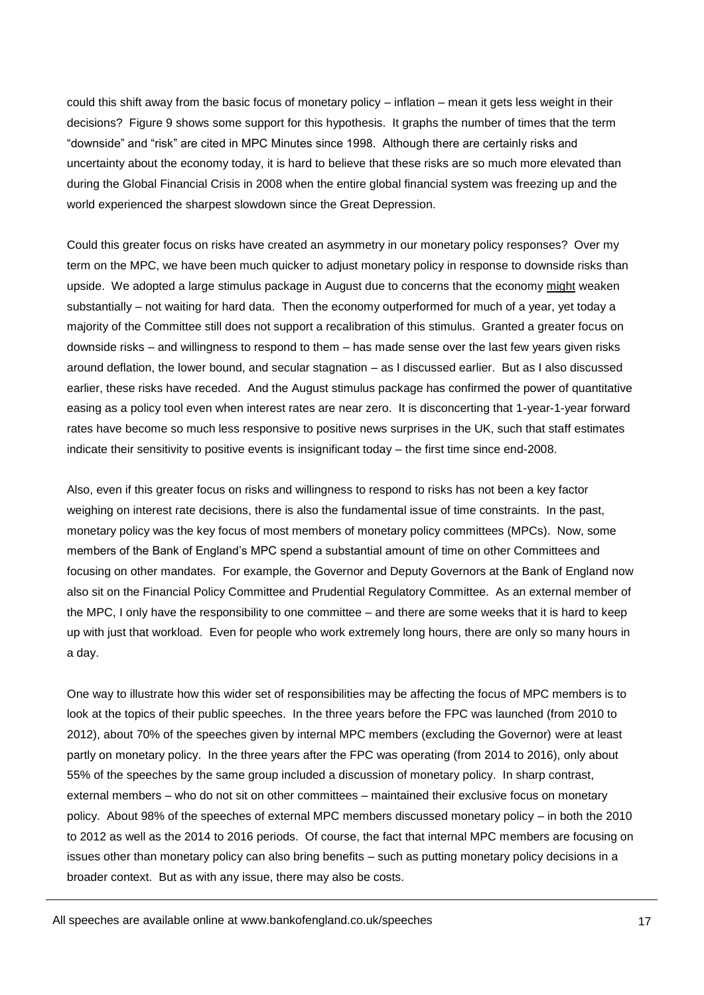could this shift away from the basic focus of monetary policy – inflation – mean it gets less weight in their decisions? Figure 9 shows some support for this hypothesis. It graphs the number of times that the term "downside" and "risk" are cited in MPC Minutes since 1998. Although there are certainly risks and uncertainty about the economy today, it is hard to believe that these risks are so much more elevated than during the Global Financial Crisis in 2008 when the entire global financial system was freezing up and the world experienced the sharpest slowdown since the Great Depression.

Could this greater focus on risks have created an asymmetry in our monetary policy responses? Over my term on the MPC, we have been much quicker to adjust monetary policy in response to downside risks than upside. We adopted a large stimulus package in August due to concerns that the economy might weaken substantially – not waiting for hard data. Then the economy outperformed for much of a year, yet today a majority of the Committee still does not support a recalibration of this stimulus. Granted a greater focus on downside risks – and willingness to respond to them – has made sense over the last few years given risks around deflation, the lower bound, and secular stagnation – as I discussed earlier. But as I also discussed earlier, these risks have receded. And the August stimulus package has confirmed the power of quantitative easing as a policy tool even when interest rates are near zero. It is disconcerting that 1-year-1-year forward rates have become so much less responsive to positive news surprises in the UK, such that staff estimates indicate their sensitivity to positive events is insignificant today – the first time since end-2008.

Also, even if this greater focus on risks and willingness to respond to risks has not been a key factor weighing on interest rate decisions, there is also the fundamental issue of time constraints. In the past, monetary policy was the key focus of most members of monetary policy committees (MPCs). Now, some members of the Bank of England's MPC spend a substantial amount of time on other Committees and focusing on other mandates. For example, the Governor and Deputy Governors at the Bank of England now also sit on the Financial Policy Committee and Prudential Regulatory Committee. As an external member of the MPC, I only have the responsibility to one committee – and there are some weeks that it is hard to keep up with just that workload. Even for people who work extremely long hours, there are only so many hours in a day.

One way to illustrate how this wider set of responsibilities may be affecting the focus of MPC members is to look at the topics of their public speeches. In the three years before the FPC was launched (from 2010 to 2012), about 70% of the speeches given by internal MPC members (excluding the Governor) were at least partly on monetary policy. In the three years after the FPC was operating (from 2014 to 2016), only about 55% of the speeches by the same group included a discussion of monetary policy. In sharp contrast, external members – who do not sit on other committees – maintained their exclusive focus on monetary policy. About 98% of the speeches of external MPC members discussed monetary policy – in both the 2010 to 2012 as well as the 2014 to 2016 periods. Of course, the fact that internal MPC members are focusing on issues other than monetary policy can also bring benefits – such as putting monetary policy decisions in a broader context. But as with any issue, there may also be costs.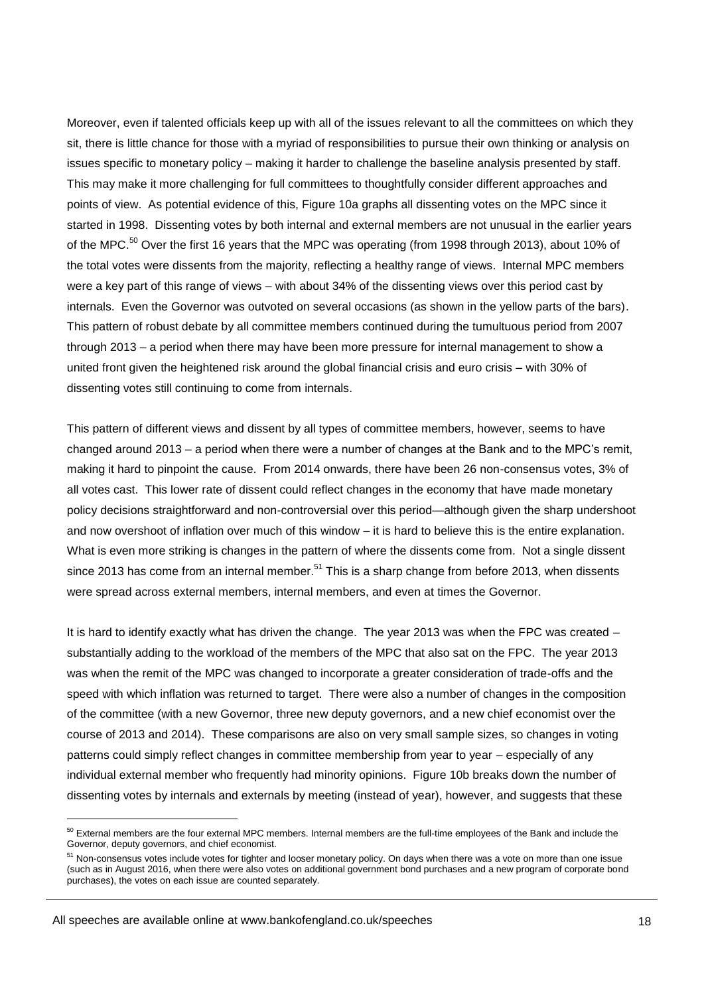Moreover, even if talented officials keep up with all of the issues relevant to all the committees on which they sit, there is little chance for those with a myriad of responsibilities to pursue their own thinking or analysis on issues specific to monetary policy – making it harder to challenge the baseline analysis presented by staff. This may make it more challenging for full committees to thoughtfully consider different approaches and points of view. As potential evidence of this, Figure 10a graphs all dissenting votes on the MPC since it started in 1998. Dissenting votes by both internal and external members are not unusual in the earlier years of the MPC.<sup>50</sup> Over the first 16 years that the MPC was operating (from 1998 through 2013), about 10% of the total votes were dissents from the majority, reflecting a healthy range of views. Internal MPC members were a key part of this range of views – with about 34% of the dissenting views over this period cast by internals. Even the Governor was outvoted on several occasions (as shown in the yellow parts of the bars). This pattern of robust debate by all committee members continued during the tumultuous period from 2007 through 2013 – a period when there may have been more pressure for internal management to show a united front given the heightened risk around the global financial crisis and euro crisis – with 30% of dissenting votes still continuing to come from internals.

This pattern of different views and dissent by all types of committee members, however, seems to have changed around 2013 – a period when there were a number of changes at the Bank and to the MPC's remit, making it hard to pinpoint the cause. From 2014 onwards, there have been 26 non-consensus votes, 3% of all votes cast. This lower rate of dissent could reflect changes in the economy that have made monetary policy decisions straightforward and non-controversial over this period—although given the sharp undershoot and now overshoot of inflation over much of this window – it is hard to believe this is the entire explanation. What is even more striking is changes in the pattern of where the dissents come from. Not a single dissent since 2013 has come from an internal member.<sup>51</sup> This is a sharp change from before 2013, when dissents were spread across external members, internal members, and even at times the Governor.

It is hard to identify exactly what has driven the change. The year 2013 was when the FPC was created – substantially adding to the workload of the members of the MPC that also sat on the FPC. The year 2013 was when the remit of the MPC was changed to incorporate a greater consideration of trade-offs and the speed with which inflation was returned to target. There were also a number of changes in the composition of the committee (with a new Governor, three new deputy governors, and a new chief economist over the course of 2013 and 2014). These comparisons are also on very small sample sizes, so changes in voting patterns could simply reflect changes in committee membership from year to year - especially of any individual external member who frequently had minority opinions. Figure 10b breaks down the number of dissenting votes by internals and externals by meeting (instead of year), however, and suggests that these

<sup>&</sup>lt;sup>50</sup> External members are the four external MPC members. Internal members are the full-time employees of the Bank and include the Governor, deputy governors, and chief economist.

<sup>&</sup>lt;sup>51</sup> Non-consensus votes include votes for tighter and looser monetary policy. On days when there was a vote on more than one issue (such as in August 2016, when there were also votes on additional government bond purchases and a new program of corporate bond purchases), the votes on each issue are counted separately.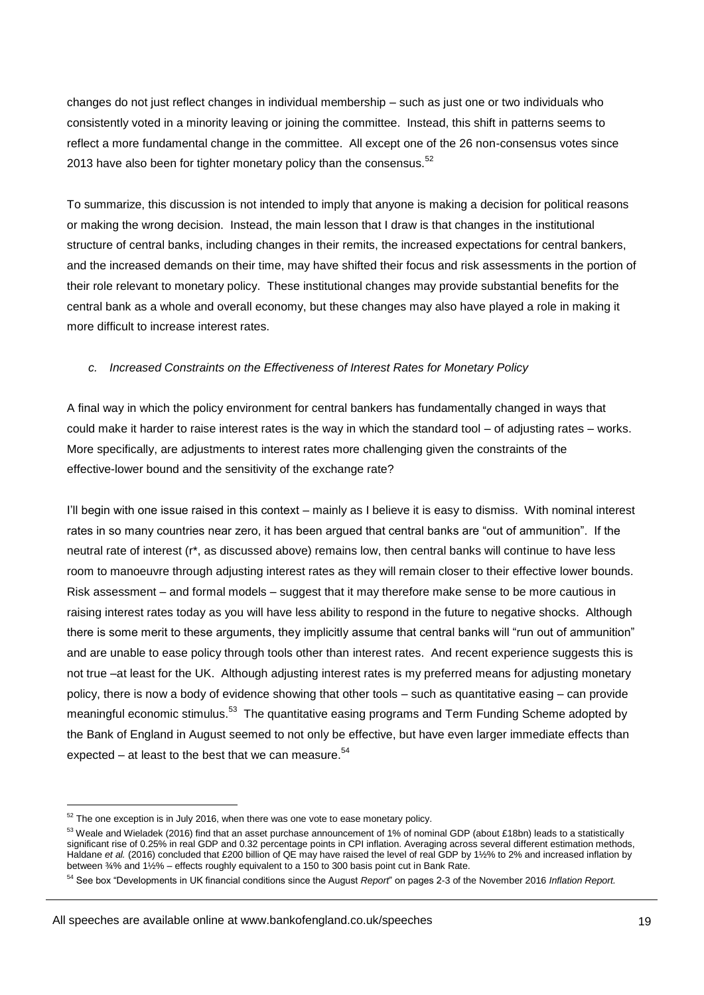changes do not just reflect changes in individual membership – such as just one or two individuals who consistently voted in a minority leaving or joining the committee. Instead, this shift in patterns seems to reflect a more fundamental change in the committee. All except one of the 26 non-consensus votes since 2013 have also been for tighter monetary policy than the consensus.<sup>52</sup>

To summarize, this discussion is not intended to imply that anyone is making a decision for political reasons or making the wrong decision. Instead, the main lesson that I draw is that changes in the institutional structure of central banks, including changes in their remits, the increased expectations for central bankers, and the increased demands on their time, may have shifted their focus and risk assessments in the portion of their role relevant to monetary policy. These institutional changes may provide substantial benefits for the central bank as a whole and overall economy, but these changes may also have played a role in making it more difficult to increase interest rates.

## *c. Increased Constraints on the Effectiveness of Interest Rates for Monetary Policy*

A final way in which the policy environment for central bankers has fundamentally changed in ways that could make it harder to raise interest rates is the way in which the standard tool – of adjusting rates – works. More specifically, are adjustments to interest rates more challenging given the constraints of the effective-lower bound and the sensitivity of the exchange rate?

I'll begin with one issue raised in this context – mainly as I believe it is easy to dismiss. With nominal interest rates in so many countries near zero, it has been argued that central banks are "out of ammunition". If the neutral rate of interest (r\*, as discussed above) remains low, then central banks will continue to have less room to manoeuvre through adjusting interest rates as they will remain closer to their effective lower bounds. Risk assessment – and formal models – suggest that it may therefore make sense to be more cautious in raising interest rates today as you will have less ability to respond in the future to negative shocks. Although there is some merit to these arguments, they implicitly assume that central banks will "run out of ammunition" and are unable to ease policy through tools other than interest rates. And recent experience suggests this is not true –at least for the UK. Although adjusting interest rates is my preferred means for adjusting monetary policy, there is now a body of evidence showing that other tools – such as quantitative easing – can provide meaningful economic stimulus.<sup>53</sup> The quantitative easing programs and Term Funding Scheme adopted by the Bank of England in August seemed to not only be effective, but have even larger immediate effects than expected – at least to the best that we can measure. $54$ 

 $52$  The one exception is in July 2016, when there was one vote to ease monetary policy.

 $53$  Weale and Wieladek (2016) find that an asset purchase announcement of 1% of nominal GDP (about £18bn) leads to a statistically significant rise of 0.25% in real GDP and 0.32 percentage points in CPI inflation. Averaging across several different estimation methods, Haldane *et al.* (2016) concluded that £200 billion of QE may have raised the level of real GDP by 1½% to 2% and increased inflation by between ¾% and 1½% – effects roughly equivalent to a 150 to 300 basis point cut in Bank Rate.

<sup>54</sup> See box "Developments in UK financial conditions since the August *Report*" on pages 2-3 of the November 2016 *Inflation Report.*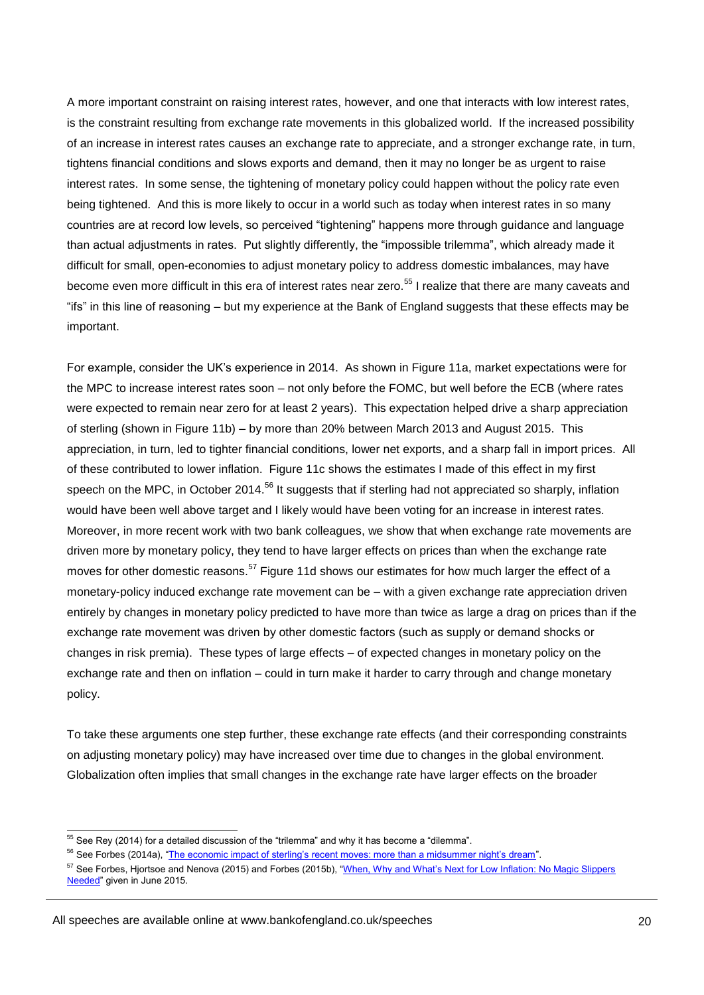A more important constraint on raising interest rates, however, and one that interacts with low interest rates, is the constraint resulting from exchange rate movements in this globalized world. If the increased possibility of an increase in interest rates causes an exchange rate to appreciate, and a stronger exchange rate, in turn, tightens financial conditions and slows exports and demand, then it may no longer be as urgent to raise interest rates. In some sense, the tightening of monetary policy could happen without the policy rate even being tightened. And this is more likely to occur in a world such as today when interest rates in so many countries are at record low levels, so perceived "tightening" happens more through guidance and language than actual adjustments in rates. Put slightly differently, the "impossible trilemma", which already made it difficult for small, open-economies to adjust monetary policy to address domestic imbalances, may have become even more difficult in this era of interest rates near zero.<sup>55</sup> I realize that there are many caveats and "ifs" in this line of reasoning – but my experience at the Bank of England suggests that these effects may be important.

For example, consider the UK's experience in 2014. As shown in Figure 11a, market expectations were for the MPC to increase interest rates soon – not only before the FOMC, but well before the ECB (where rates were expected to remain near zero for at least 2 years). This expectation helped drive a sharp appreciation of sterling (shown in Figure 11b) – by more than 20% between March 2013 and August 2015. This appreciation, in turn, led to tighter financial conditions, lower net exports, and a sharp fall in import prices. All of these contributed to lower inflation. Figure 11c shows the estimates I made of this effect in my first speech on the MPC, in October 2014.<sup>56</sup> It suggests that if sterling had not appreciated so sharply, inflation would have been well above target and I likely would have been voting for an increase in interest rates. Moreover, in more recent work with two bank colleagues, we show that when exchange rate movements are driven more by monetary policy, they tend to have larger effects on prices than when the exchange rate moves for other domestic reasons.<sup>57</sup> Figure 11d shows our estimates for how much larger the effect of a monetary-policy induced exchange rate movement can be – with a given exchange rate appreciation driven entirely by changes in monetary policy predicted to have more than twice as large a drag on prices than if the exchange rate movement was driven by other domestic factors (such as supply or demand shocks or changes in risk premia). These types of large effects – of expected changes in monetary policy on the exchange rate and then on inflation – could in turn make it harder to carry through and change monetary policy.

To take these arguments one step further, these exchange rate effects (and their corresponding constraints on adjusting monetary policy) may have increased over time due to changes in the global environment. Globalization often implies that small changes in the exchange rate have larger effects on the broader

 $55$  See Rey (2014) for a detailed discussion of the "trilemma" and why it has become a "dilemma".

<sup>&</sup>lt;sup>56</sup> See Forbes (2014a), ["The economic impact of sterling's recent moves: more than a midsummer night's dream"](http://www.bankofengland.co.uk/publications/Documents/speeches/2014/speech760.pdf).

<sup>&</sup>lt;sup>57</sup> See Forbes, Hjortsoe and Nenova (2015) and Forbes (2015b), "When, Why and What's Next for Low Inflation: No Magic Slippers [Needed"](http://www.bankofengland.co.uk/publications/Documents/speeches/2015/speech823.pdf) given in June 2015.

All speeches are available online at www.bankofengland.co.uk/speeches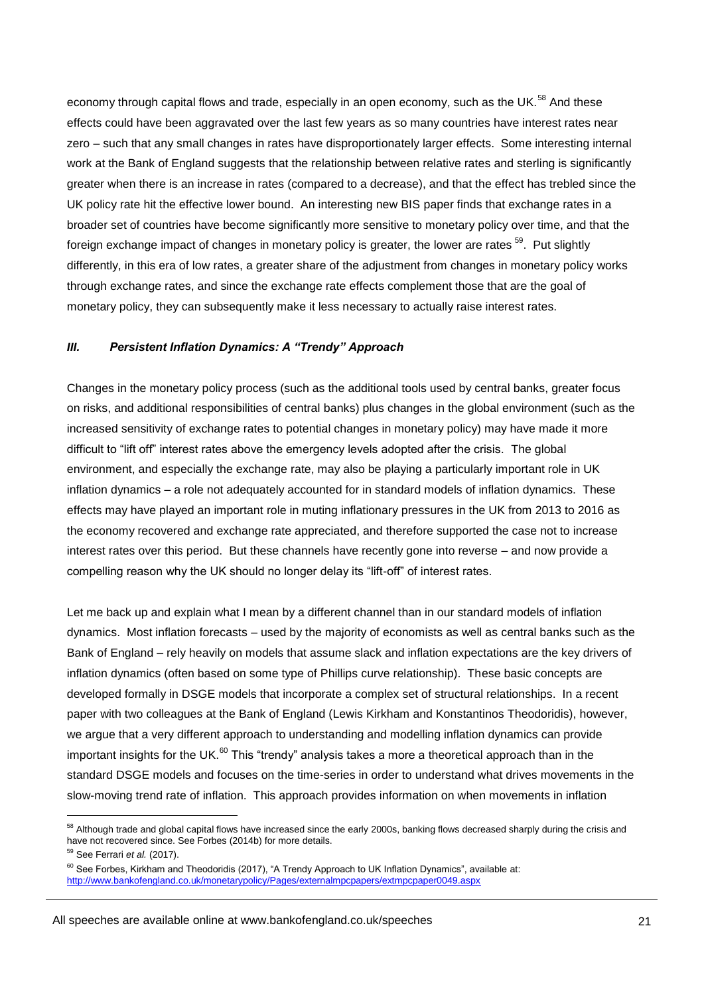economy through capital flows and trade, especially in an open economy, such as the UK.<sup>58</sup> And these effects could have been aggravated over the last few years as so many countries have interest rates near zero – such that any small changes in rates have disproportionately larger effects. Some interesting internal work at the Bank of England suggests that the relationship between relative rates and sterling is significantly greater when there is an increase in rates (compared to a decrease), and that the effect has trebled since the UK policy rate hit the effective lower bound. An interesting new BIS paper finds that exchange rates in a broader set of countries have become significantly more sensitive to monetary policy over time, and that the foreign exchange impact of changes in monetary policy is greater, the lower are rates  $^{59}$ . Put slightly differently, in this era of low rates, a greater share of the adjustment from changes in monetary policy works through exchange rates, and since the exchange rate effects complement those that are the goal of monetary policy, they can subsequently make it less necessary to actually raise interest rates.

## *III. Persistent Inflation Dynamics: A "Trendy" Approach*

Changes in the monetary policy process (such as the additional tools used by central banks, greater focus on risks, and additional responsibilities of central banks) plus changes in the global environment (such as the increased sensitivity of exchange rates to potential changes in monetary policy) may have made it more difficult to "lift off" interest rates above the emergency levels adopted after the crisis. The global environment, and especially the exchange rate, may also be playing a particularly important role in UK inflation dynamics – a role not adequately accounted for in standard models of inflation dynamics. These effects may have played an important role in muting inflationary pressures in the UK from 2013 to 2016 as the economy recovered and exchange rate appreciated, and therefore supported the case not to increase interest rates over this period. But these channels have recently gone into reverse – and now provide a compelling reason why the UK should no longer delay its "lift-off" of interest rates.

Let me back up and explain what I mean by a different channel than in our standard models of inflation dynamics. Most inflation forecasts – used by the majority of economists as well as central banks such as the Bank of England – rely heavily on models that assume slack and inflation expectations are the key drivers of inflation dynamics (often based on some type of Phillips curve relationship). These basic concepts are developed formally in DSGE models that incorporate a complex set of structural relationships. In a recent paper with two colleagues at the Bank of England (Lewis Kirkham and Konstantinos Theodoridis), however, we argue that a very different approach to understanding and modelling inflation dynamics can provide important insights for the UK. $^{60}$  This "trendy" analysis takes a more a theoretical approach than in the standard DSGE models and focuses on the time-series in order to understand what drives movements in the slow-moving trend rate of inflation. This approach provides information on when movements in inflation

<sup>&</sup>lt;sup>58</sup> Although trade and global capital flows have increased since the early 2000s, banking flows decreased sharply during the crisis and have not recovered since. See Forbes (2014b) for more details.

<sup>59</sup> See Ferrari *et al.* (2017).

 $60$  See Forbes, Kirkham and Theodoridis (2017), "A Trendy Approach to UK Inflation Dynamics", available at: <http://www.bankofengland.co.uk/monetarypolicy/Pages/externalmpcpapers/extmpcpaper0049.aspx>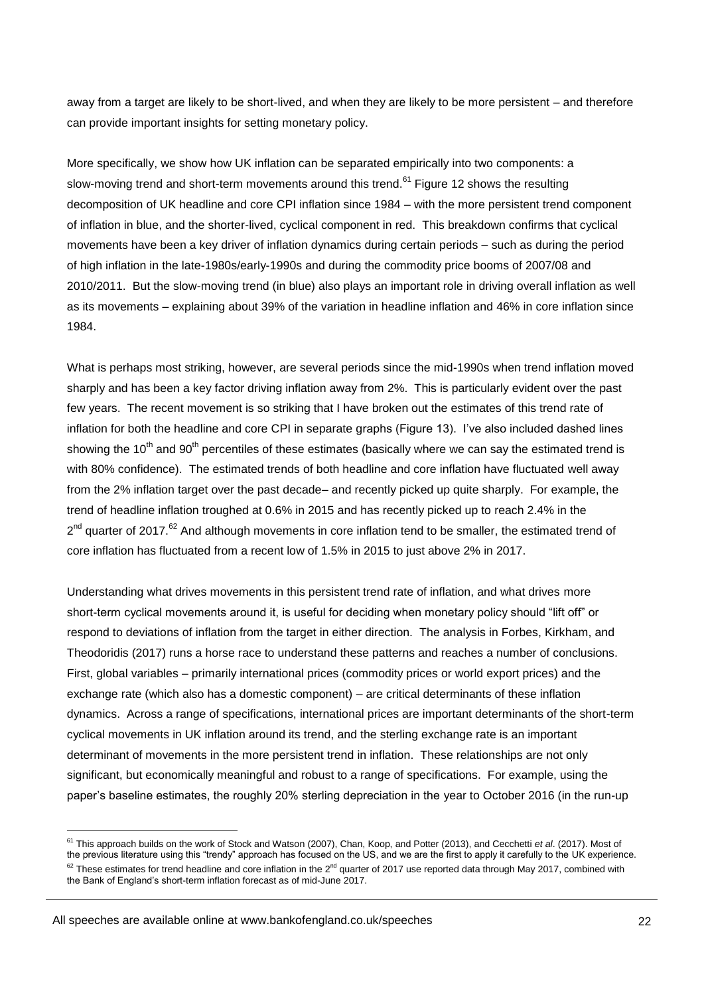away from a target are likely to be short-lived, and when they are likely to be more persistent – and therefore can provide important insights for setting monetary policy.

More specifically, we show how UK inflation can be separated empirically into two components: a slow-moving trend and short-term movements around this trend.<sup>61</sup> Figure 12 shows the resulting decomposition of UK headline and core CPI inflation since 1984 – with the more persistent trend component of inflation in blue, and the shorter-lived, cyclical component in red. This breakdown confirms that cyclical movements have been a key driver of inflation dynamics during certain periods – such as during the period of high inflation in the late-1980s/early-1990s and during the commodity price booms of 2007/08 and 2010/2011. But the slow-moving trend (in blue) also plays an important role in driving overall inflation as well as its movements – explaining about 39% of the variation in headline inflation and 46% in core inflation since 1984.

What is perhaps most striking, however, are several periods since the mid-1990s when trend inflation moved sharply and has been a key factor driving inflation away from 2%. This is particularly evident over the past few years. The recent movement is so striking that I have broken out the estimates of this trend rate of inflation for both the headline and core CPI in separate graphs (Figure 13). I've also included dashed lines showing the 10<sup>th</sup> and 90<sup>th</sup> percentiles of these estimates (basically where we can say the estimated trend is with 80% confidence). The estimated trends of both headline and core inflation have fluctuated well away from the 2% inflation target over the past decade– and recently picked up quite sharply. For example, the trend of headline inflation troughed at 0.6% in 2015 and has recently picked up to reach 2.4% in the 2<sup>nd</sup> quarter of 2017.<sup>62</sup> And although movements in core inflation tend to be smaller, the estimated trend of core inflation has fluctuated from a recent low of 1.5% in 2015 to just above 2% in 2017.

Understanding what drives movements in this persistent trend rate of inflation, and what drives more short-term cyclical movements around it, is useful for deciding when monetary policy should "lift off" or respond to deviations of inflation from the target in either direction. The analysis in Forbes, Kirkham, and Theodoridis (2017) runs a horse race to understand these patterns and reaches a number of conclusions. First, global variables – primarily international prices (commodity prices or world export prices) and the exchange rate (which also has a domestic component) – are critical determinants of these inflation dynamics. Across a range of specifications, international prices are important determinants of the short-term cyclical movements in UK inflation around its trend, and the sterling exchange rate is an important determinant of movements in the more persistent trend in inflation. These relationships are not only significant, but economically meaningful and robust to a range of specifications. For example, using the paper's baseline estimates, the roughly 20% sterling depreciation in the year to October 2016 (in the run-up

<sup>61</sup> This approach builds on the work of Stock and Watson (2007), Chan, Koop, and Potter (2013), and Cecchetti *et al*. (2017). Most of the previous literature using this "trendy" approach has focused on the US, and we are the first to apply it carefully to the UK experience.  $62$  These estimates for trend headline and core inflation in the  $2^{nd}$  quarter of 2017 use reported data through May 2017, combined with the Bank of England's short-term inflation forecast as of mid-June 2017.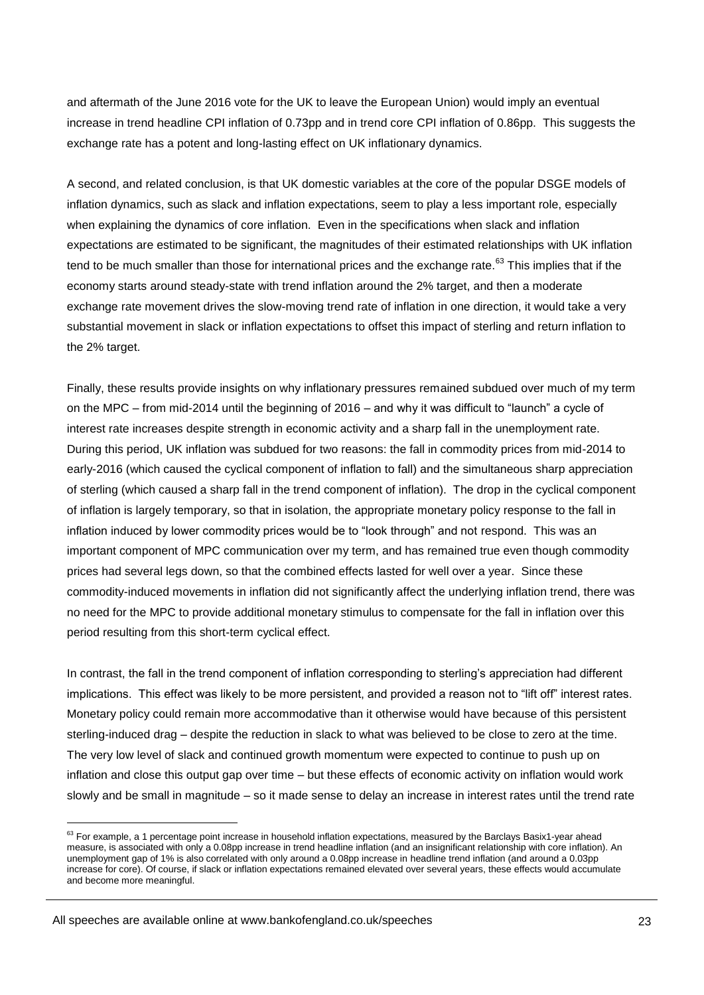and aftermath of the June 2016 vote for the UK to leave the European Union) would imply an eventual increase in trend headline CPI inflation of 0.73pp and in trend core CPI inflation of 0.86pp. This suggests the exchange rate has a potent and long-lasting effect on UK inflationary dynamics.

A second, and related conclusion, is that UK domestic variables at the core of the popular DSGE models of inflation dynamics, such as slack and inflation expectations, seem to play a less important role, especially when explaining the dynamics of core inflation. Even in the specifications when slack and inflation expectations are estimated to be significant, the magnitudes of their estimated relationships with UK inflation tend to be much smaller than those for international prices and the exchange rate. $63$  This implies that if the economy starts around steady-state with trend inflation around the 2% target, and then a moderate exchange rate movement drives the slow-moving trend rate of inflation in one direction, it would take a very substantial movement in slack or inflation expectations to offset this impact of sterling and return inflation to the 2% target.

Finally, these results provide insights on why inflationary pressures remained subdued over much of my term on the MPC – from mid-2014 until the beginning of 2016 – and why it was difficult to "launch" a cycle of interest rate increases despite strength in economic activity and a sharp fall in the unemployment rate. During this period, UK inflation was subdued for two reasons: the fall in commodity prices from mid-2014 to early-2016 (which caused the cyclical component of inflation to fall) and the simultaneous sharp appreciation of sterling (which caused a sharp fall in the trend component of inflation). The drop in the cyclical component of inflation is largely temporary, so that in isolation, the appropriate monetary policy response to the fall in inflation induced by lower commodity prices would be to "look through" and not respond. This was an important component of MPC communication over my term, and has remained true even though commodity prices had several legs down, so that the combined effects lasted for well over a year. Since these commodity-induced movements in inflation did not significantly affect the underlying inflation trend, there was no need for the MPC to provide additional monetary stimulus to compensate for the fall in inflation over this period resulting from this short-term cyclical effect.

In contrast, the fall in the trend component of inflation corresponding to sterling's appreciation had different implications. This effect was likely to be more persistent, and provided a reason not to "lift off" interest rates. Monetary policy could remain more accommodative than it otherwise would have because of this persistent sterling-induced drag – despite the reduction in slack to what was believed to be close to zero at the time. The very low level of slack and continued growth momentum were expected to continue to push up on inflation and close this output gap over time – but these effects of economic activity on inflation would work slowly and be small in magnitude – so it made sense to delay an increase in interest rates until the trend rate

 $63$  For example, a 1 percentage point increase in household inflation expectations, measured by the Barclays Basix1-year ahead measure, is associated with only a 0.08pp increase in trend headline inflation (and an insignificant relationship with core inflation). An unemployment gap of 1% is also correlated with only around a 0.08pp increase in headline trend inflation (and around a 0.03pp increase for core). Of course, if slack or inflation expectations remained elevated over several years, these effects would accumulate and become more meaningful.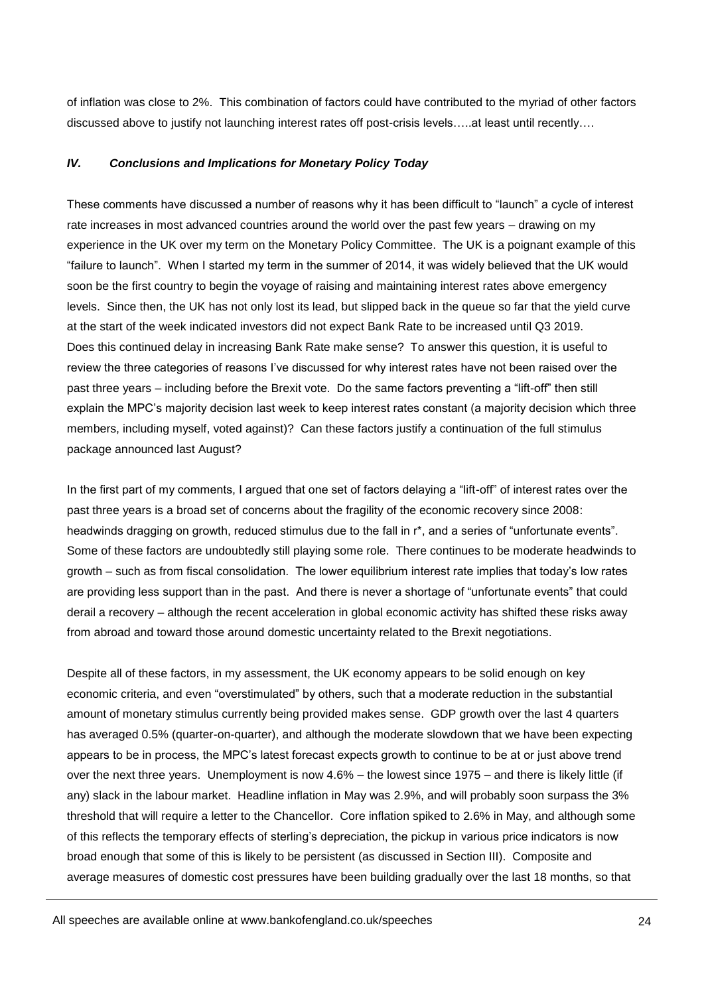of inflation was close to 2%. This combination of factors could have contributed to the myriad of other factors discussed above to justify not launching interest rates off post-crisis levels…..at least until recently….

## *IV. Conclusions and Implications for Monetary Policy Today*

These comments have discussed a number of reasons why it has been difficult to "launch" a cycle of interest rate increases in most advanced countries around the world over the past few years – drawing on my experience in the UK over my term on the Monetary Policy Committee. The UK is a poignant example of this "failure to launch". When I started my term in the summer of 2014, it was widely believed that the UK would soon be the first country to begin the voyage of raising and maintaining interest rates above emergency levels. Since then, the UK has not only lost its lead, but slipped back in the queue so far that the yield curve at the start of the week indicated investors did not expect Bank Rate to be increased until Q3 2019. Does this continued delay in increasing Bank Rate make sense? To answer this question, it is useful to review the three categories of reasons I've discussed for why interest rates have not been raised over the past three years – including before the Brexit vote. Do the same factors preventing a "lift-off" then still explain the MPC's majority decision last week to keep interest rates constant (a majority decision which three members, including myself, voted against)? Can these factors justify a continuation of the full stimulus package announced last August?

In the first part of my comments, I argued that one set of factors delaying a "lift-off" of interest rates over the past three years is a broad set of concerns about the fragility of the economic recovery since 2008: headwinds dragging on growth, reduced stimulus due to the fall in r<sup>\*</sup>, and a series of "unfortunate events". Some of these factors are undoubtedly still playing some role. There continues to be moderate headwinds to growth – such as from fiscal consolidation. The lower equilibrium interest rate implies that today's low rates are providing less support than in the past. And there is never a shortage of "unfortunate events" that could derail a recovery – although the recent acceleration in global economic activity has shifted these risks away from abroad and toward those around domestic uncertainty related to the Brexit negotiations.

Despite all of these factors, in my assessment, the UK economy appears to be solid enough on key economic criteria, and even "overstimulated" by others, such that a moderate reduction in the substantial amount of monetary stimulus currently being provided makes sense. GDP growth over the last 4 quarters has averaged 0.5% (quarter-on-quarter), and although the moderate slowdown that we have been expecting appears to be in process, the MPC's latest forecast expects growth to continue to be at or just above trend over the next three years. Unemployment is now 4.6% – the lowest since 1975 – and there is likely little (if any) slack in the labour market. Headline inflation in May was 2.9%, and will probably soon surpass the 3% threshold that will require a letter to the Chancellor. Core inflation spiked to 2.6% in May, and although some of this reflects the temporary effects of sterling's depreciation, the pickup in various price indicators is now broad enough that some of this is likely to be persistent (as discussed in Section III). Composite and average measures of domestic cost pressures have been building gradually over the last 18 months, so that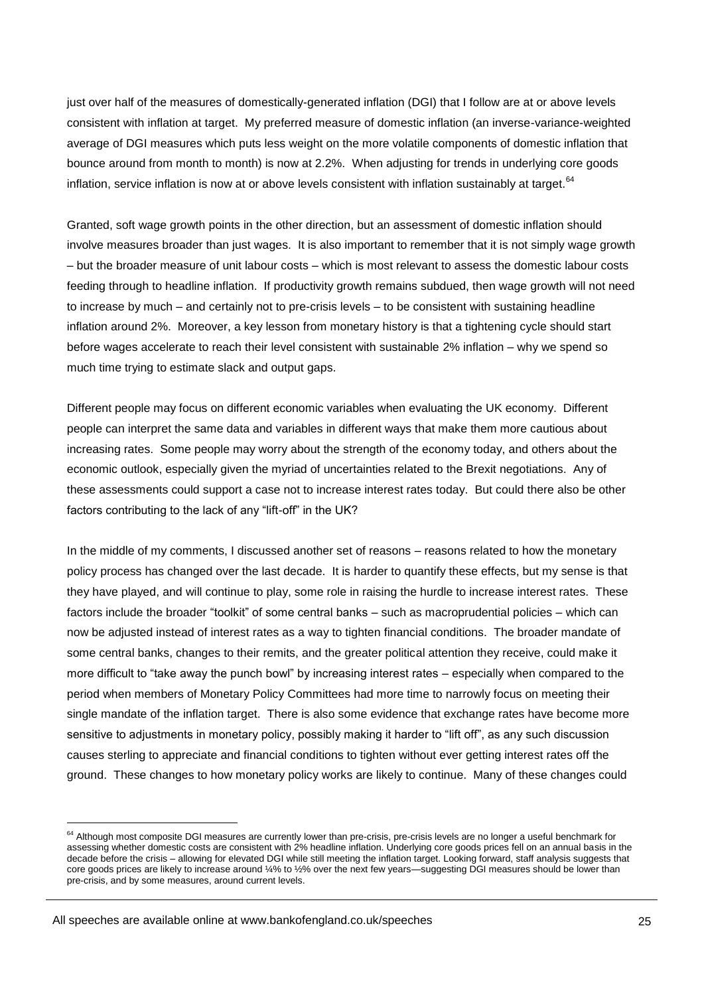just over half of the measures of domestically-generated inflation (DGI) that I follow are at or above levels consistent with inflation at target. My preferred measure of domestic inflation (an inverse-variance-weighted average of DGI measures which puts less weight on the more volatile components of domestic inflation that bounce around from month to month) is now at 2.2%. When adjusting for trends in underlying core goods inflation, service inflation is now at or above levels consistent with inflation sustainably at target. $64$ 

Granted, soft wage growth points in the other direction, but an assessment of domestic inflation should involve measures broader than just wages. It is also important to remember that it is not simply wage growth – but the broader measure of unit labour costs – which is most relevant to assess the domestic labour costs feeding through to headline inflation. If productivity growth remains subdued, then wage growth will not need to increase by much – and certainly not to pre-crisis levels – to be consistent with sustaining headline inflation around 2%. Moreover, a key lesson from monetary history is that a tightening cycle should start before wages accelerate to reach their level consistent with sustainable 2% inflation – why we spend so much time trying to estimate slack and output gaps.

Different people may focus on different economic variables when evaluating the UK economy. Different people can interpret the same data and variables in different ways that make them more cautious about increasing rates. Some people may worry about the strength of the economy today, and others about the economic outlook, especially given the myriad of uncertainties related to the Brexit negotiations. Any of these assessments could support a case not to increase interest rates today. But could there also be other factors contributing to the lack of any "lift-off" in the UK?

In the middle of my comments, I discussed another set of reasons – reasons related to how the monetary policy process has changed over the last decade. It is harder to quantify these effects, but my sense is that they have played, and will continue to play, some role in raising the hurdle to increase interest rates. These factors include the broader "toolkit" of some central banks – such as macroprudential policies – which can now be adjusted instead of interest rates as a way to tighten financial conditions. The broader mandate of some central banks, changes to their remits, and the greater political attention they receive, could make it more difficult to "take away the punch bowl" by increasing interest rates – especially when compared to the period when members of Monetary Policy Committees had more time to narrowly focus on meeting their single mandate of the inflation target. There is also some evidence that exchange rates have become more sensitive to adjustments in monetary policy, possibly making it harder to "lift off", as any such discussion causes sterling to appreciate and financial conditions to tighten without ever getting interest rates off the ground. These changes to how monetary policy works are likely to continue. Many of these changes could

<sup>&</sup>lt;sup>64</sup> Although most composite DGI measures are currently lower than pre-crisis, pre-crisis levels are no longer a useful benchmark for assessing whether domestic costs are consistent with 2% headline inflation. Underlying core goods prices fell on an annual basis in the decade before the crisis – allowing for elevated DGI while still meeting the inflation target. Looking forward, staff analysis suggests that core goods prices are likely to increase around ¼% to ½% over the next few years—suggesting DGI measures should be lower than pre-crisis, and by some measures, around current levels.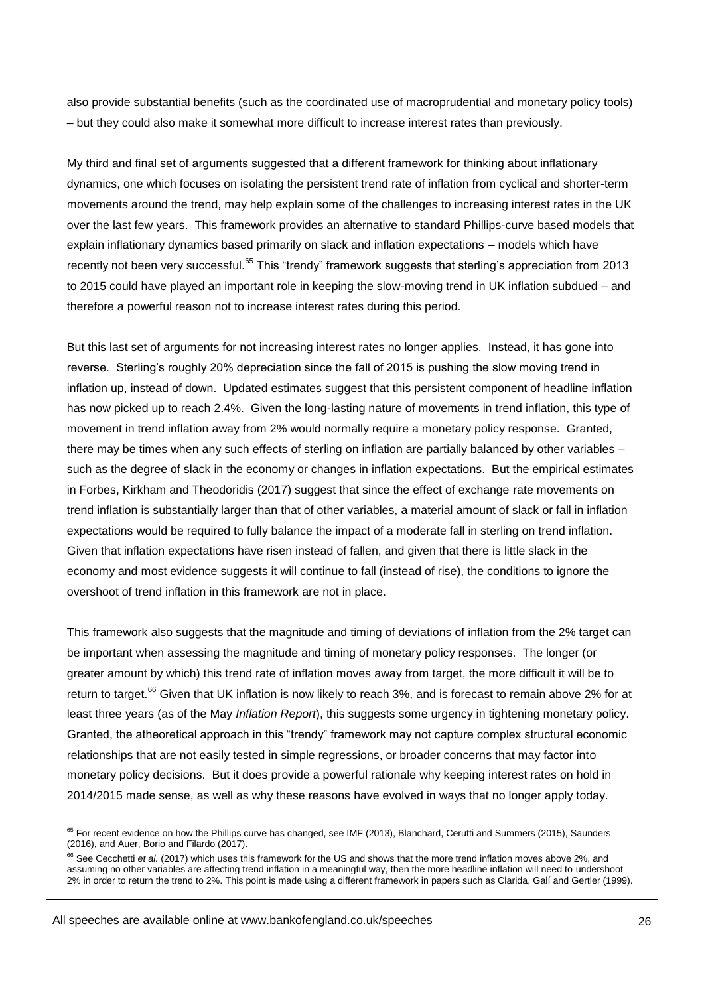also provide substantial benefits (such as the coordinated use of macroprudential and monetary policy tools) – but they could also make it somewhat more difficult to increase interest rates than previously.

My third and final set of arguments suggested that a different framework for thinking about inflationary dynamics, one which focuses on isolating the persistent trend rate of inflation from cyclical and shorter-term movements around the trend, may help explain some of the challenges to increasing interest rates in the UK over the last few years. This framework provides an alternative to standard Phillips-curve based models that explain inflationary dynamics based primarily on slack and inflation expectations – models which have recently not been very successful.<sup>65</sup> This "trendy" framework suggests that sterling's appreciation from 2013 to 2015 could have played an important role in keeping the slow-moving trend in UK inflation subdued – and therefore a powerful reason not to increase interest rates during this period.

But this last set of arguments for not increasing interest rates no longer applies. Instead, it has gone into reverse. Sterling's roughly 20% depreciation since the fall of 2015 is pushing the slow moving trend in inflation up, instead of down. Updated estimates suggest that this persistent component of headline inflation has now picked up to reach 2.4%. Given the long-lasting nature of movements in trend inflation, this type of movement in trend inflation away from 2% would normally require a monetary policy response. Granted, there may be times when any such effects of sterling on inflation are partially balanced by other variables – such as the degree of slack in the economy or changes in inflation expectations. But the empirical estimates in Forbes, Kirkham and Theodoridis (2017) suggest that since the effect of exchange rate movements on trend inflation is substantially larger than that of other variables, a material amount of slack or fall in inflation expectations would be required to fully balance the impact of a moderate fall in sterling on trend inflation. Given that inflation expectations have risen instead of fallen, and given that there is little slack in the economy and most evidence suggests it will continue to fall (instead of rise), the conditions to ignore the overshoot of trend inflation in this framework are not in place.

This framework also suggests that the magnitude and timing of deviations of inflation from the 2% target can be important when assessing the magnitude and timing of monetary policy responses. The longer (or greater amount by which) this trend rate of inflation moves away from target, the more difficult it will be to return to target.<sup>66</sup> Given that UK inflation is now likely to reach 3%, and is forecast to remain above 2% for at least three years (as of the May *Inflation Report*), this suggests some urgency in tightening monetary policy. Granted, the atheoretical approach in this "trendy" framework may not capture complex structural economic relationships that are not easily tested in simple regressions, or broader concerns that may factor into monetary policy decisions. But it does provide a powerful rationale why keeping interest rates on hold in 2014/2015 made sense, as well as why these reasons have evolved in ways that no longer apply today.

 $65$  For recent evidence on how the Phillips curve has changed, see IMF (2013), Blanchard, Cerutti and Summers (2015), Saunders (2016), and Auer, Borio and Filardo (2017).

<sup>&</sup>lt;sup>66</sup> See Cecchetti et al. (2017) which uses this framework for the US and shows that the more trend inflation moves above 2%, and assuming no other variables are affecting trend inflation in a meaningful way, then the more headline inflation will need to undershoot 2% in order to return the trend to 2%. This point is made using a different framework in papers such as Clarida, Galí and Gertler (1999).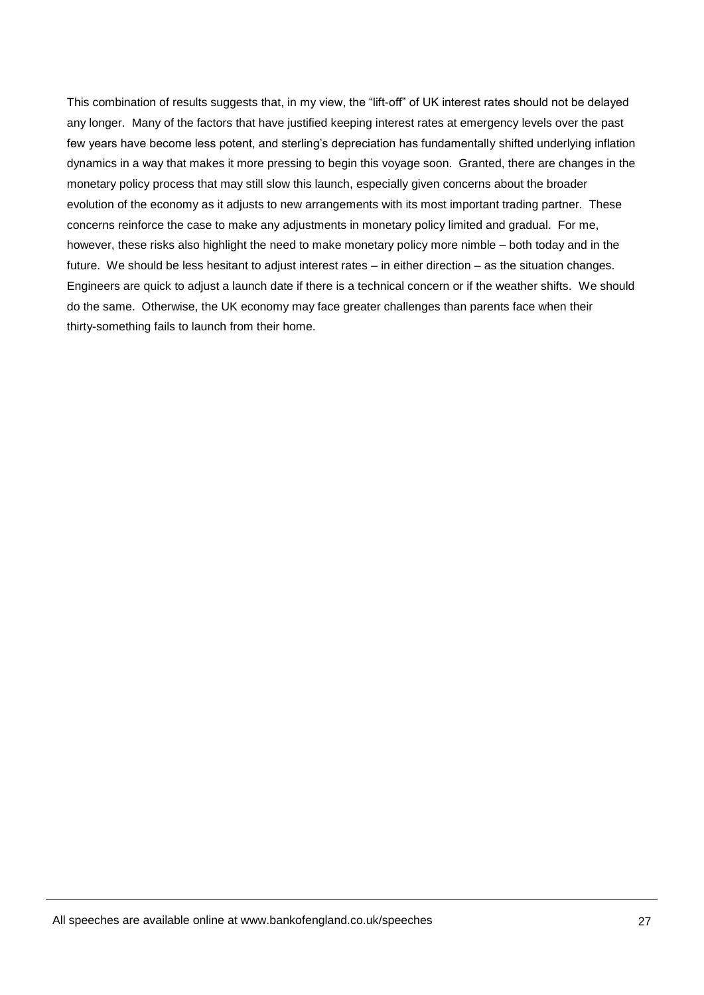This combination of results suggests that, in my view, the "lift-off" of UK interest rates should not be delayed any longer. Many of the factors that have justified keeping interest rates at emergency levels over the past few years have become less potent, and sterling's depreciation has fundamentally shifted underlying inflation dynamics in a way that makes it more pressing to begin this voyage soon. Granted, there are changes in the monetary policy process that may still slow this launch, especially given concerns about the broader evolution of the economy as it adjusts to new arrangements with its most important trading partner. These concerns reinforce the case to make any adjustments in monetary policy limited and gradual. For me, however, these risks also highlight the need to make monetary policy more nimble – both today and in the future. We should be less hesitant to adjust interest rates – in either direction – as the situation changes. Engineers are quick to adjust a launch date if there is a technical concern or if the weather shifts. We should do the same. Otherwise, the UK economy may face greater challenges than parents face when their thirty-something fails to launch from their home.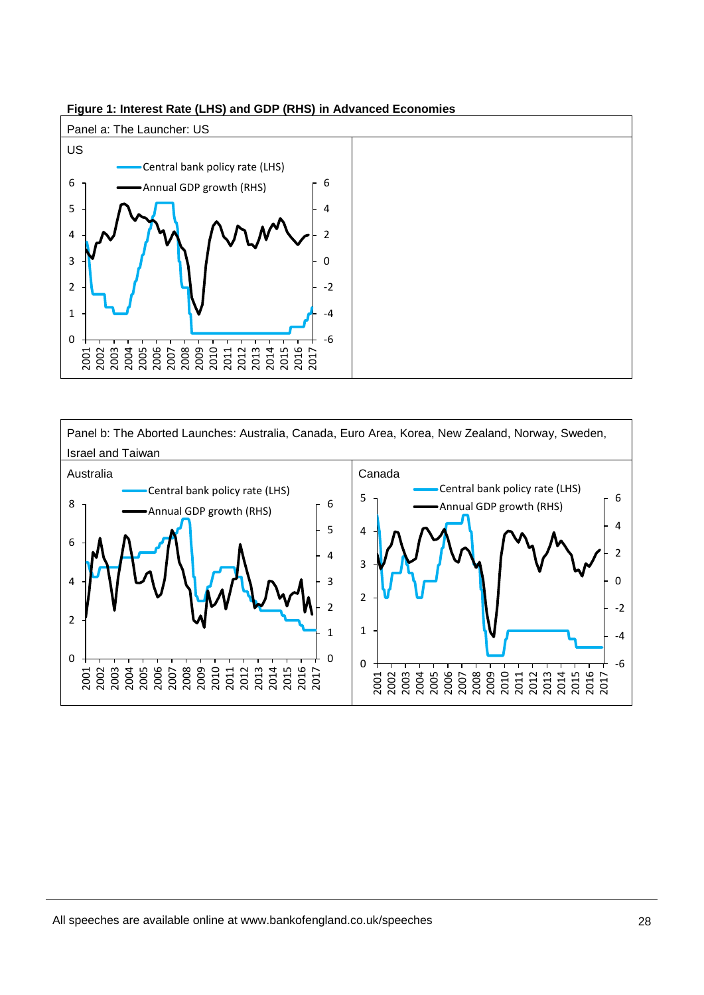

# **Figure 1: Interest Rate (LHS) and GDP (RHS) in Advanced Economies**

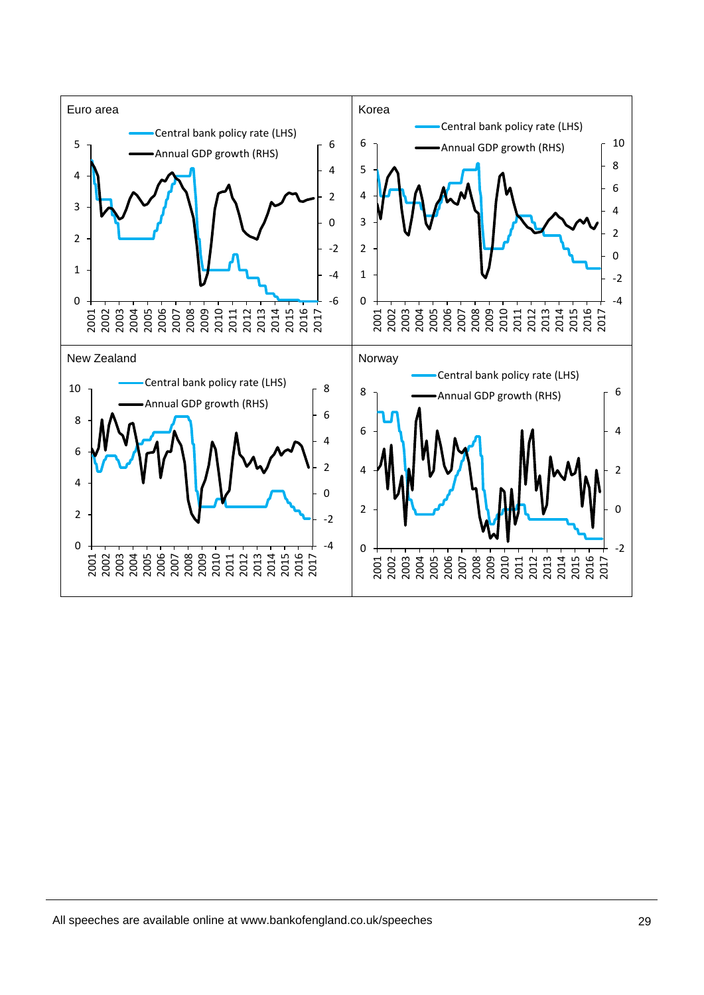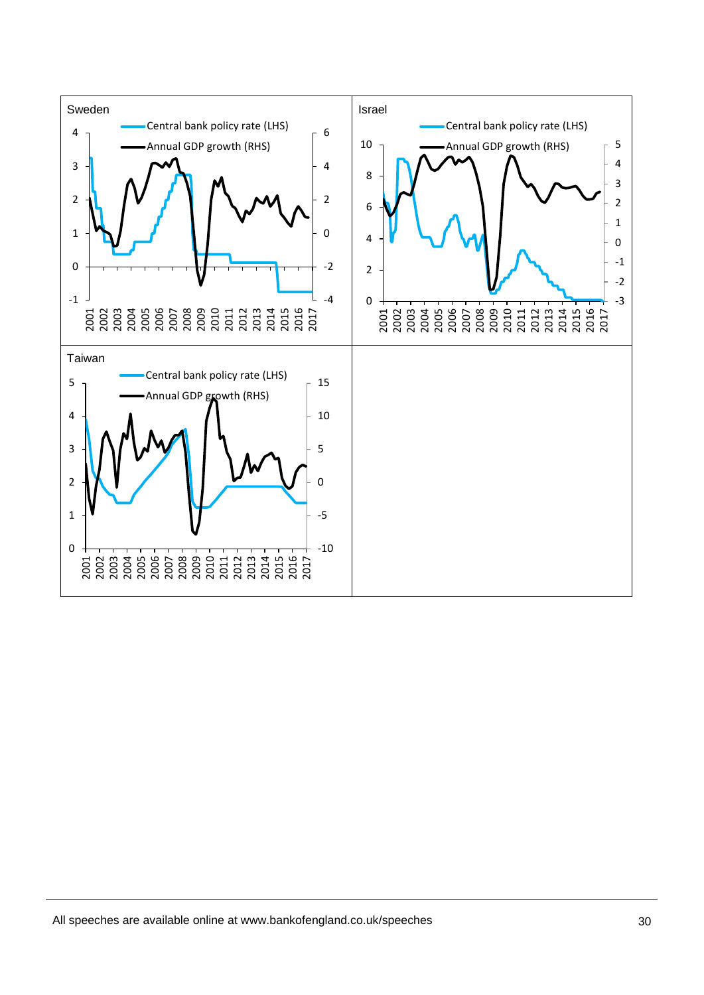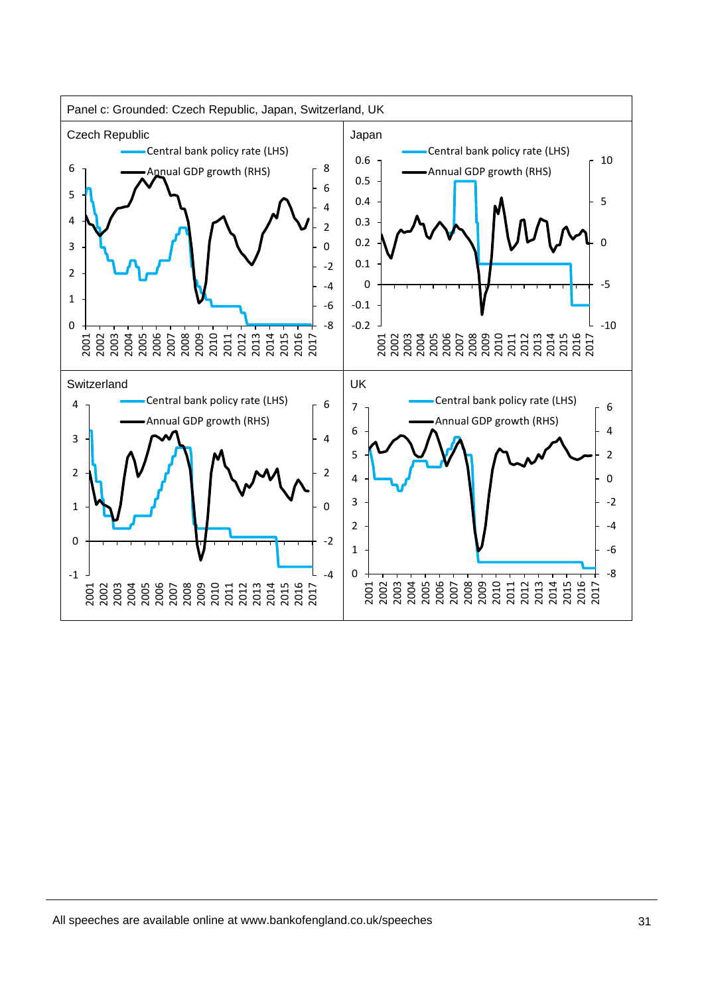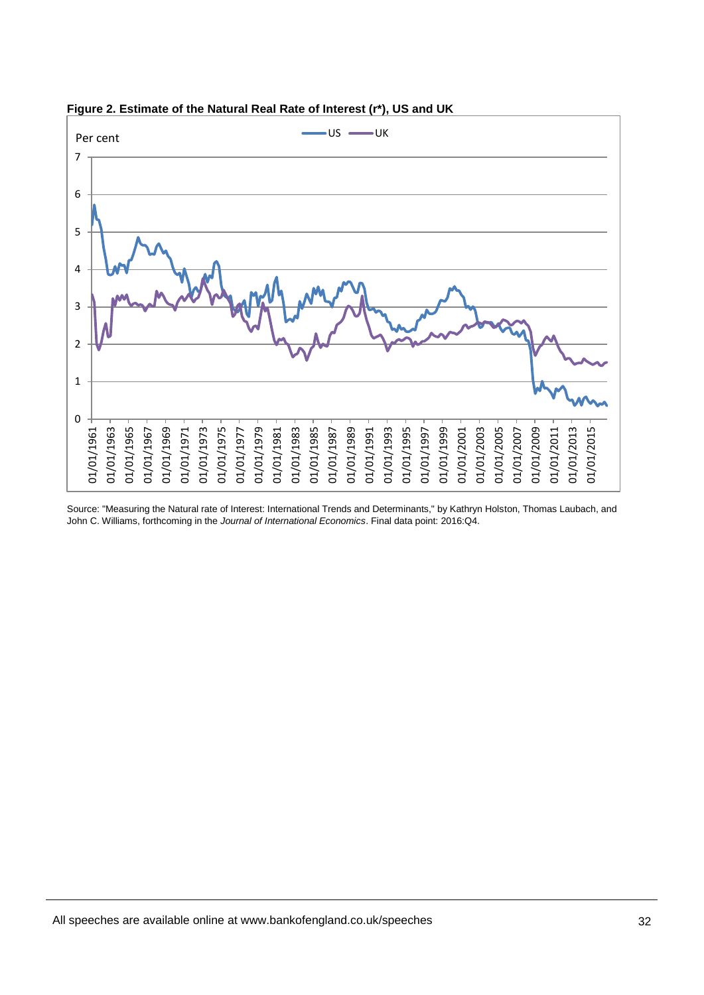

**Figure 2. Estimate of the Natural Real Rate of Interest (r\*), US and UK**

Source: "Measuring the Natural rate of Interest: International Trends and Determinants," by Kathryn Holston, Thomas Laubach, and John C. Williams, forthcoming in the *Journal of International Economics*. Final data point: 2016:Q4.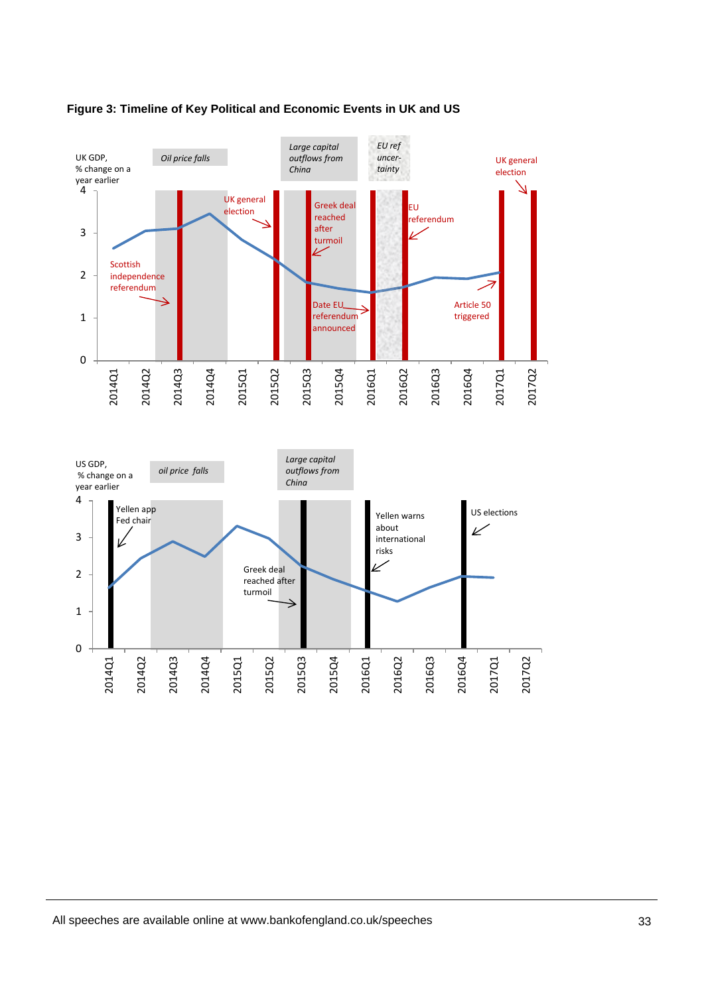



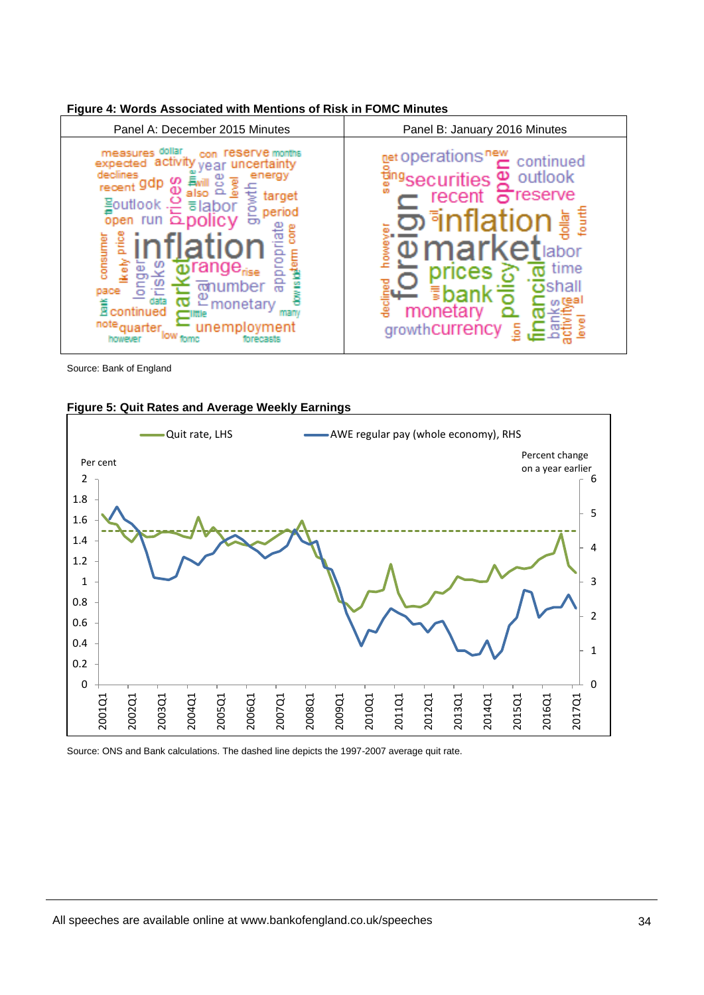

# **Figure 4: Words Associated with Mentions of Risk in FOMC Minutes**

Source: Bank of England



# **Figure 5: Quit Rates and Average Weekly Earnings**

Source: ONS and Bank calculations. The dashed line depicts the 1997-2007 average quit rate.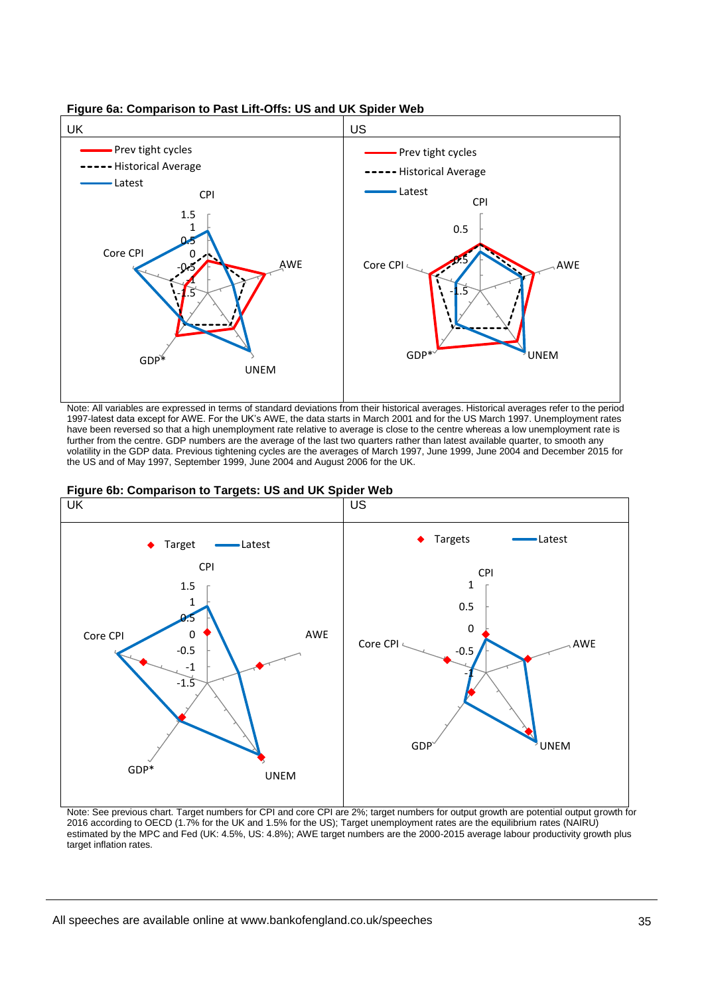

**Figure 6a: Comparison to Past Lift-Offs: US and UK Spider Web** 

Note: All variables are expressed in terms of standard deviations from their historical averages. Historical averages refer to the period 1997-latest data except for AWE. For the UK's AWE, the data starts in March 2001 and for the US March 1997. Unemployment rates have been reversed so that a high unemployment rate relative to average is close to the centre whereas a low unemployment rate is further from the centre. GDP numbers are the average of the last two quarters rather than latest available quarter, to smooth any volatility in the GDP data. Previous tightening cycles are the averages of March 1997, June 1999, June 2004 and December 2015 for the US and of May 1997, September 1999, June 2004 and August 2006 for the UK.



#### **Figure 6b: Comparison to Targets: US and UK Spider Web**

Note: See previous chart. Target numbers for CPI and core CPI are 2%; target numbers for output growth are potential output growth for 2016 according to OECD (1.7% for the UK and 1.5% for the US); Target unemployment rates are the equilibrium rates (NAIRU) estimated by the MPC and Fed (UK: 4.5%, US: 4.8%); AWE target numbers are the 2000-2015 average labour productivity growth plus target inflation rates.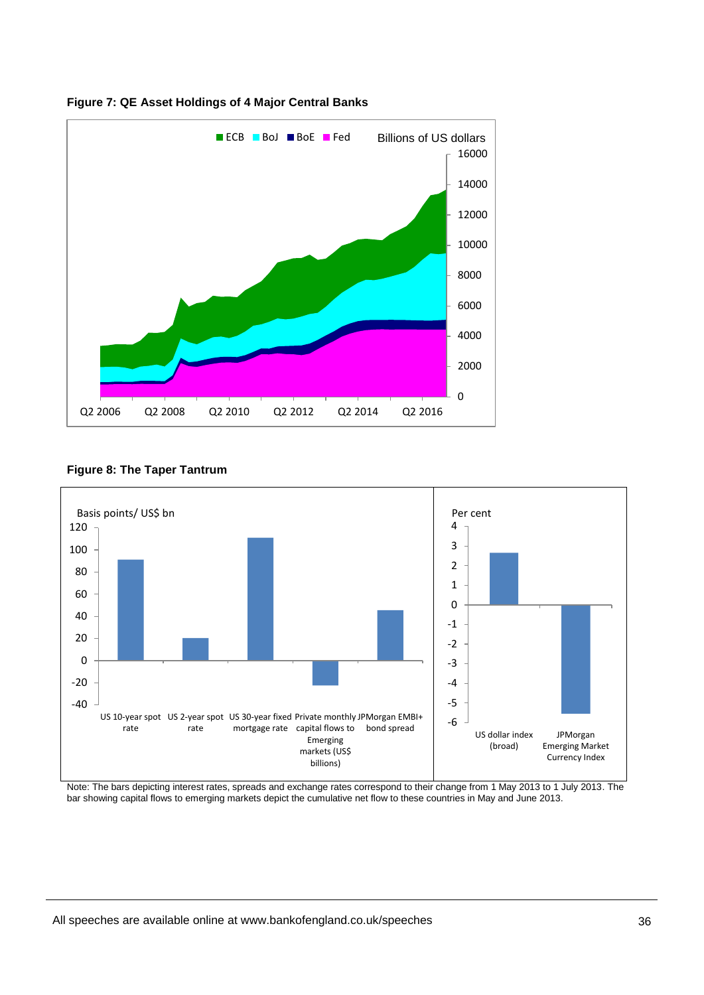

**Figure 7: QE Asset Holdings of 4 Major Central Banks**

# **Figure 8: The Taper Tantrum**



Note: The bars depicting interest rates, spreads and exchange rates correspond to their change from 1 May 2013 to 1 July 2013. The bar showing capital flows to emerging markets depict the cumulative net flow to these countries in May and June 2013.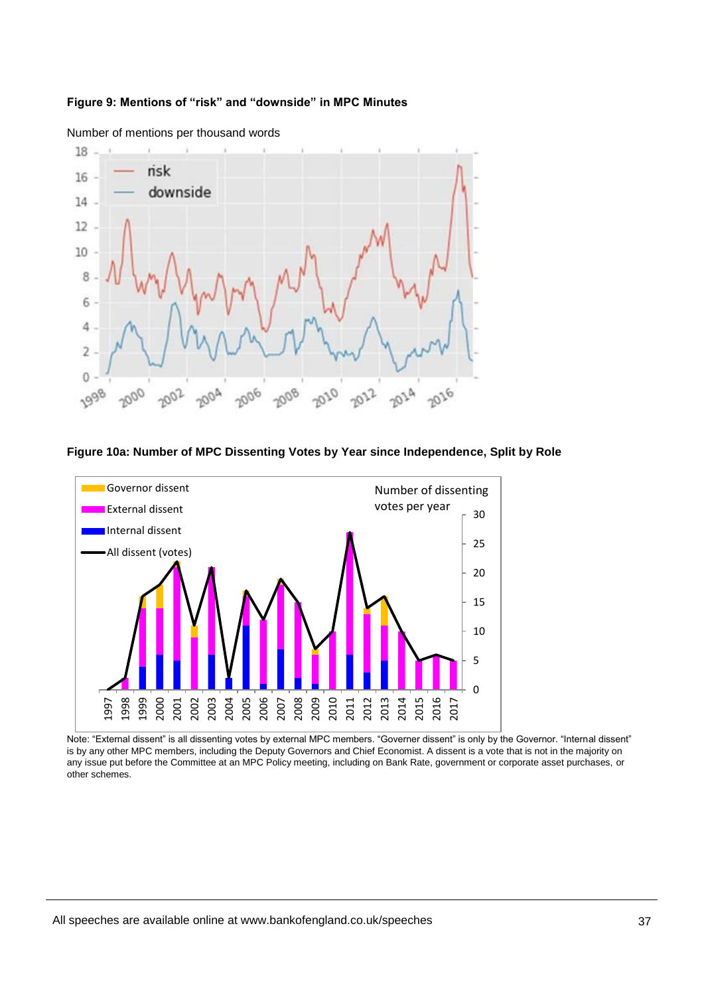## **Figure 9: Mentions of "risk" and "downside" in MPC Minutes**



Number of mentions per thousand words

#### **Figure 10a: Number of MPC Dissenting Votes by Year since Independence, Split by Role**



Note: "External dissent" is all dissenting votes by external MPC members. "Governer dissent" is only by the Governor. "Internal dissent" is by any other MPC members, including the Deputy Governors and Chief Economist. A dissent is a vote that is not in the majority on any issue put before the Committee at an MPC Policy meeting, including on Bank Rate, government or corporate asset purchases, or other schemes.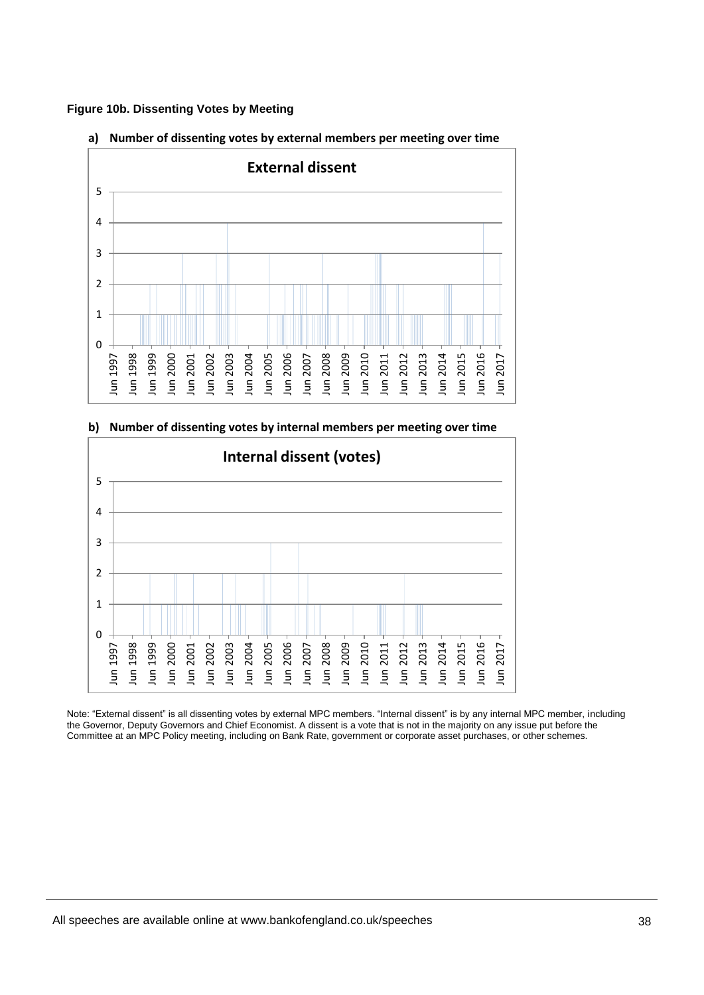





**b) Number of dissenting votes by internal members per meeting over time**

Note: "External dissent" is all dissenting votes by external MPC members. "Internal dissent" is by any internal MPC member, including the Governor, Deputy Governors and Chief Economist. A dissent is a vote that is not in the majority on any issue put before the Committee at an MPC Policy meeting, including on Bank Rate, government or corporate asset purchases, or other schemes.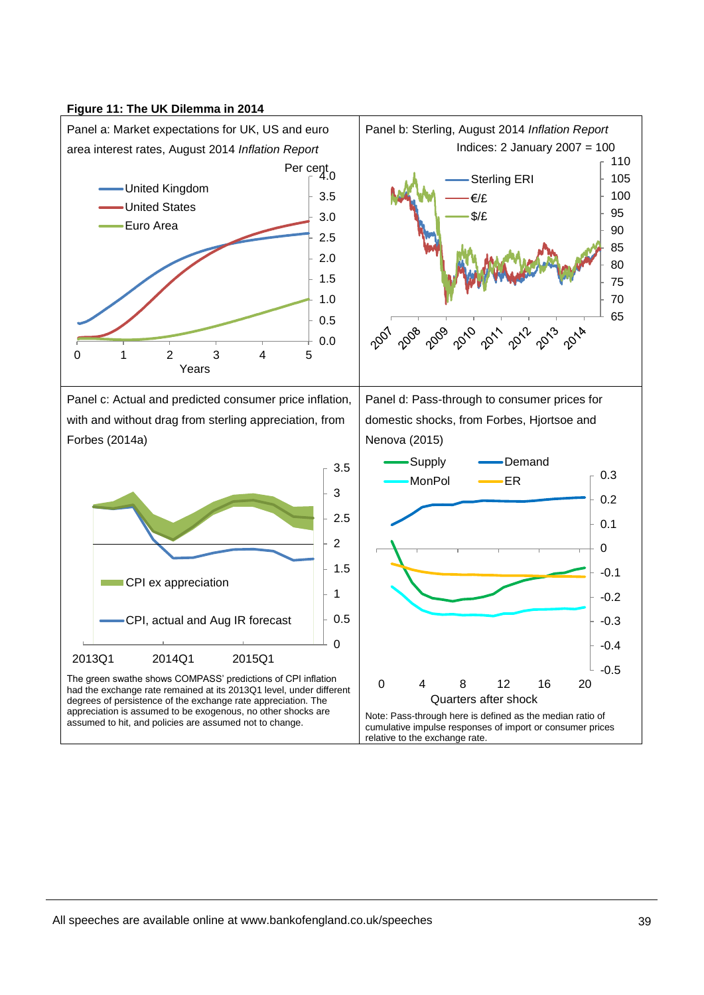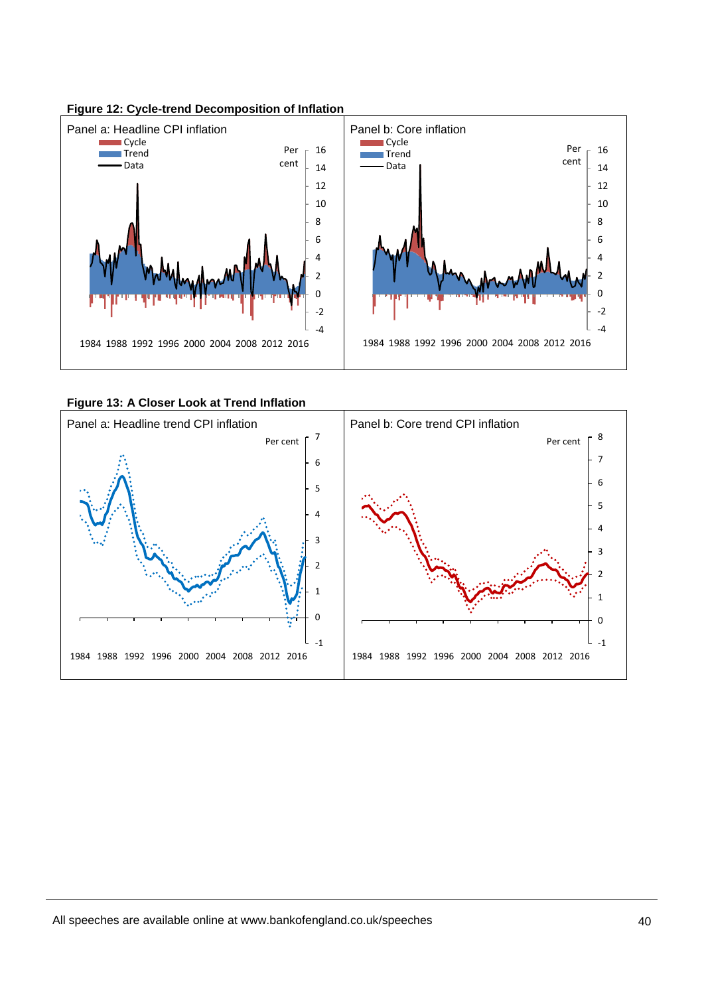

**Figure 12: Cycle-trend Decomposition of Inflation**

**Figure 13: A Closer Look at Trend Inflation**

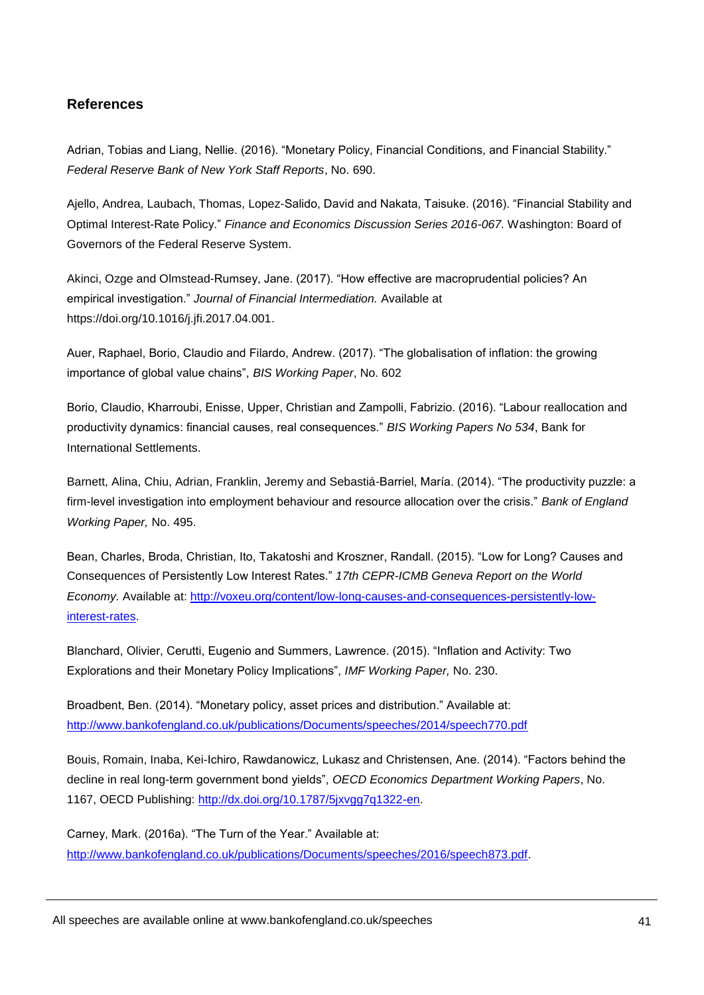# **References**

Adrian, Tobias and Liang, Nellie. (2016). "Monetary Policy, Financial Conditions, and Financial Stability." *Federal Reserve Bank of New York Staff Reports*, No. 690.

Ajello, Andrea, Laubach, Thomas, Lopez-Salido, David and Nakata, Taisuke. (2016). "Financial Stability and Optimal Interest-Rate Policy." *Finance and Economics Discussion Series 2016-067.* Washington: Board of Governors of the Federal Reserve System.

Akinci, Ozge and Olmstead-Rumsey, Jane. (2017). "How effective are macroprudential policies? An empirical investigation." *Journal of Financial Intermediation.* Available at [https://doi.org/10.1016/j.jfi.2017.04.001.](https://doi.org/10.1016/j.jfi.2017.04.001)

Auer, Raphael, Borio, Claudio and Filardo, Andrew. (2017). "The globalisation of inflation: the growing importance of global value chains", *BIS Working Paper*, No. 602

Borio, Claudio, Kharroubi, Enisse, Upper, Christian and Zampolli, Fabrizio. (2016). "Labour reallocation and productivity dynamics: financial causes, real consequences." *BIS Working Papers No 534*, Bank for International Settlements.

Barnett, Alina, Chiu, Adrian, Franklin, Jeremy and Sebastiá-Barriel, María. (2014). "The productivity puzzle: a firm-level investigation into employment behaviour and resource allocation over the crisis." *Bank of England Working Paper,* No. 495.

Bean, Charles, Broda, Christian, Ito, Takatoshi and Kroszner, Randall. (2015). "Low for Long? Causes and Consequences of Persistently Low Interest Rates." *17th CEPR-ICMB Geneva Report on the World Economy.* Available at: [http://voxeu.org/content/low-long-causes-and-consequences-persistently-low](http://voxeu.org/content/low-long-causes-and-consequences-persistently-low-interest-rates)[interest-rates.](http://voxeu.org/content/low-long-causes-and-consequences-persistently-low-interest-rates)

Blanchard, Olivier, Cerutti, Eugenio and Summers, Lawrence. (2015). "Inflation and Activity: Two Explorations and their Monetary Policy Implications", *IMF Working Paper,* No. 230.

Broadbent, Ben. (2014). "Monetary policy, asset prices and distribution." Available at: <http://www.bankofengland.co.uk/publications/Documents/speeches/2014/speech770.pdf>

Bouis, Romain, Inaba, Kei-Ichiro, Rawdanowicz, Lukasz and Christensen, Ane. (2014). "Factors behind the decline in real long-term government bond yields", *OECD Economics Department Working Papers*, No. 1167, OECD Publishing: [http://dx.doi.org/10.1787/5jxvgg7q1322-en.](http://dx.doi.org/10.1787/5jxvgg7q1322-en)

Carney, Mark. (2016a). "The Turn of the Year." Available at: [http://www.bankofengland.co.uk/publications/Documents/speeches/2016/speech873.pdf.](http://www.bankofengland.co.uk/publications/Documents/speeches/2016/speech873.pdf)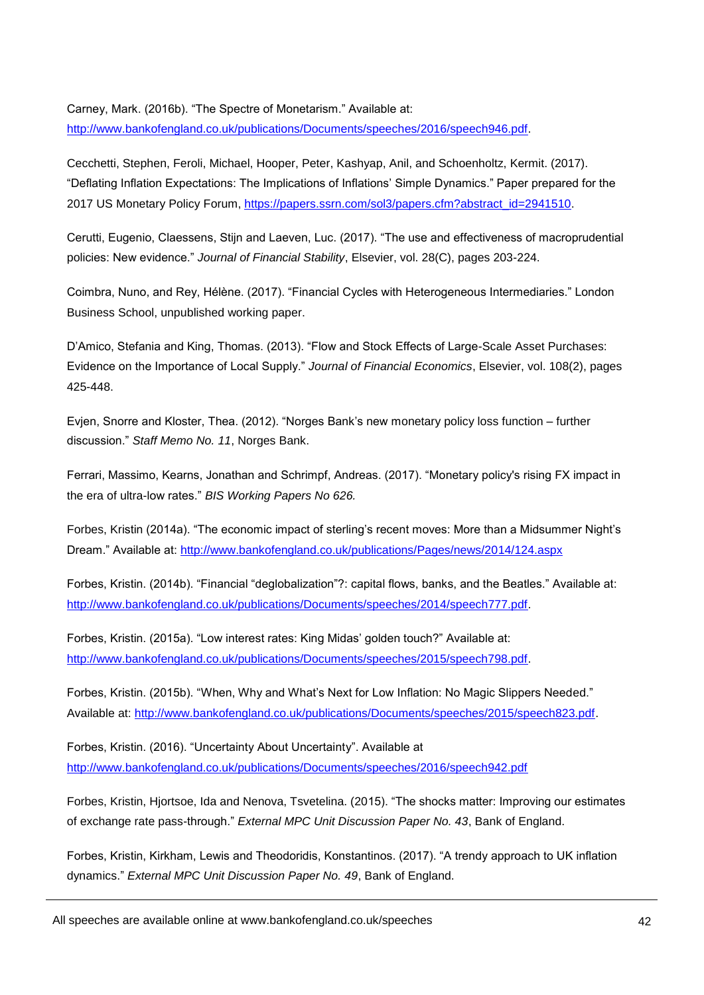Carney, Mark. (2016b). "The Spectre of Monetarism." Available at: [http://www.bankofengland.co.uk/publications/Documents/speeches/2016/speech946.pdf.](http://www.bankofengland.co.uk/publications/Documents/speeches/2016/speech946.pdf)

Cecchetti, Stephen, Feroli, Michael, Hooper, Peter, Kashyap, Anil, and Schoenholtz, Kermit. (2017). "Deflating Inflation Expectations: The Implications of Inflations' Simple Dynamics." Paper prepared for the 2017 US Monetary Policy Forum, [https://papers.ssrn.com/sol3/papers.cfm?abstract\\_id=2941510.](https://papers.ssrn.com/sol3/papers.cfm?abstract_id=2941510) 

Cerutti, Eugenio, Claessens, Stijn and Laeven, Luc. (2017). "The use and effectiveness of macroprudential policies: New evidence." *Journal of Financial Stability*, Elsevier, vol. 28(C), pages 203-224.

Coimbra, Nuno, and Rey, Hélène. (2017). "Financial Cycles with Heterogeneous Intermediaries." London Business School, unpublished working paper.

D'Amico, Stefania and King, Thomas. (2013). "Flow and Stock Effects of Large-Scale Asset Purchases: Evidence on the Importance of Local Supply." *Journal of Financial Economics*, Elsevier, vol. 108(2), pages 425-448.

Evjen, Snorre and Kloster, Thea. (2012). "Norges Bank's new monetary policy loss function – further discussion." *Staff Memo No. 11*, Norges Bank.

Ferrari, Massimo, Kearns, Jonathan and Schrimpf, Andreas. (2017). "Monetary policy's rising FX impact in the era of ultra-low rates." *BIS Working Papers No 626.*

Forbes, Kristin (2014a). "The economic impact of sterling's recent moves: More than a Midsummer Night's Dream." Available at:<http://www.bankofengland.co.uk/publications/Pages/news/2014/124.aspx>

Forbes, Kristin. (2014b). "Financial "deglobalization"?: capital flows, banks, and the Beatles." Available at: [http://www.bankofengland.co.uk/publications/Documents/speeches/2014/speech777.pdf.](http://www.bankofengland.co.uk/publications/Documents/speeches/2014/speech777.pdf)

Forbes, Kristin. (2015a). "Low interest rates: King Midas' golden touch?" Available at: [http://www.bankofengland.co.uk/publications/Documents/speeches/2015/speech798.pdf.](http://www.bankofengland.co.uk/publications/Documents/speeches/2015/speech798.pdf)

Forbes, Kristin. (2015b). ["When, Why and What's Next for Low Inflation: No Magic Slippers Needed.](http://www.bankofengland.co.uk/publications/Documents/speeches/2015/speech823.pdf)" Available at: [http://www.bankofengland.co.uk/publications/Documents/speeches/2015/speech823.pdf.](http://www.bankofengland.co.uk/publications/Documents/speeches/2015/speech823.pdf)

Forbes, Kristin. (2016). "Uncertainty About Uncertainty". Available at <http://www.bankofengland.co.uk/publications/Documents/speeches/2016/speech942.pdf>

Forbes, Kristin, Hjortsoe, Ida and Nenova, Tsvetelina. (2015). "The shocks matter: Improving our estimates of exchange rate pass-through." *External MPC Unit Discussion Paper No. 43*, Bank of England.

Forbes, Kristin, Kirkham, Lewis and Theodoridis, Konstantinos. (2017). "A trendy approach to UK inflation dynamics." *External MPC Unit Discussion Paper No. 49*, Bank of England.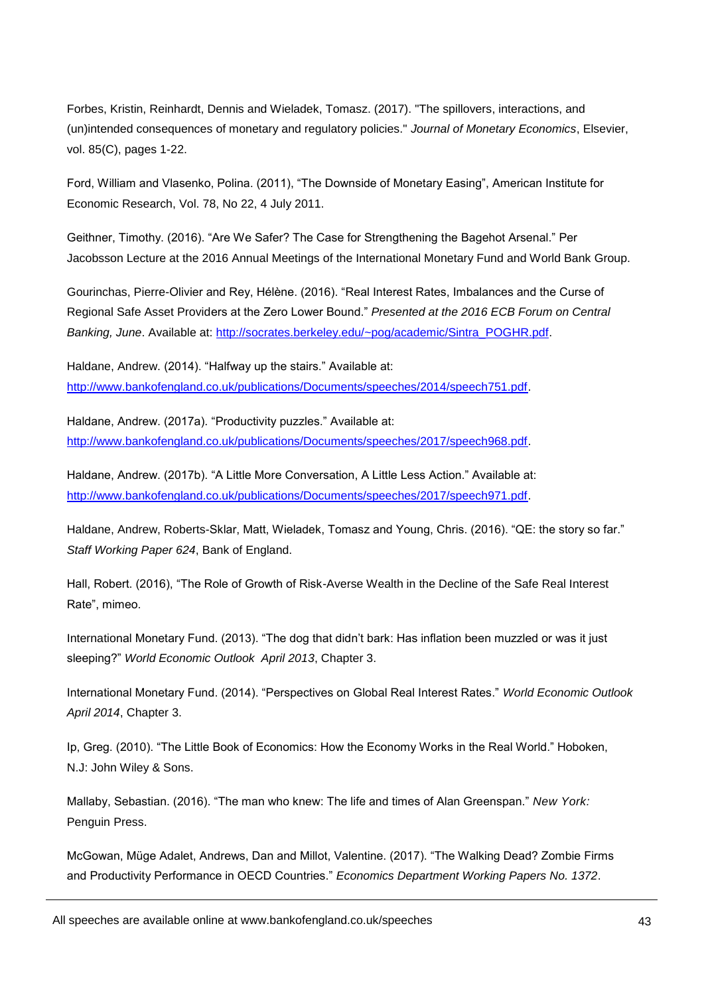Forbes, Kristin, Reinhardt, Dennis and Wieladek, Tomasz. (2017). "The spillovers, interactions, and (un)intended consequences of monetary and regulatory policies." *Journal of Monetary Economics*, Elsevier, vol. 85(C), pages 1-22.

Ford, William and Vlasenko, Polina. (2011), "The Downside of Monetary Easing", American Institute for Economic Research, Vol. 78, No 22, 4 July 2011.

Geithner, Timothy. (2016). "Are We Safer? The Case for Strengthening the Bagehot Arsenal." Per Jacobsson Lecture at the 2016 Annual Meetings of the International Monetary Fund and World Bank Group.

Gourinchas, Pierre-Olivier and Rey, Hélène. (2016). "Real Interest Rates, Imbalances and the Curse of Regional Safe Asset Providers at the Zero Lower Bound." *Presented at the 2016 ECB Forum on Central Banking, June*. Available at: [http://socrates.berkeley.edu/~pog/academic/Sintra\\_POGHR.pdf.](http://socrates.berkeley.edu/~pog/academic/Sintra_POGHR.pdf)

Haldane, Andrew. (2014). "Halfway up the stairs." Available at: [http://www.bankofengland.co.uk/publications/Documents/speeches/2014/speech751.pdf.](http://www.bankofengland.co.uk/publications/Documents/speeches/2014/speech751.pdf)

Haldane, Andrew. (2017a). "Productivity puzzles." Available at: [http://www.bankofengland.co.uk/publications/Documents/speeches/2017/speech968.pdf.](http://www.bankofengland.co.uk/publications/Documents/speeches/2017/speech968.pdf)

Haldane, Andrew. (2017b). "A Little More Conversation, A Little Less Action." Available at: [http://www.bankofengland.co.uk/publications/Documents/speeches/2017/speech971.pdf.](http://www.bankofengland.co.uk/publications/Documents/speeches/2017/speech971.pdf)

Haldane, Andrew, Roberts-Sklar, Matt, Wieladek, Tomasz and Young, Chris. (2016). "QE: the story so far." *Staff Working Paper 624*, Bank of England.

Hall, Robert. (2016), "The Role of Growth of Risk-Averse Wealth in the Decline of the Safe Real Interest Rate", mimeo.

International Monetary Fund. (2013). "The dog that didn't bark: Has inflation been muzzled or was it just sleeping?" *World Economic Outlook April 2013*, Chapter 3.

International Monetary Fund. (2014). "Perspectives on Global Real Interest Rates." *World Economic Outlook April 2014*, Chapter 3.

Ip, Greg. (2010). "The Little Book of Economics: How the Economy Works in the Real World." Hoboken, N.J: John Wiley & Sons.

Mallaby, Sebastian. (2016). "The man who knew: The life and times of Alan Greenspan." *New York:*  Penguin Press.

McGowan, Müge Adalet, Andrews, Dan and Millot, Valentine. (2017). "The Walking Dead? Zombie Firms and Productivity Performance in OECD Countries." *Economics Department Working Papers No. 1372*.